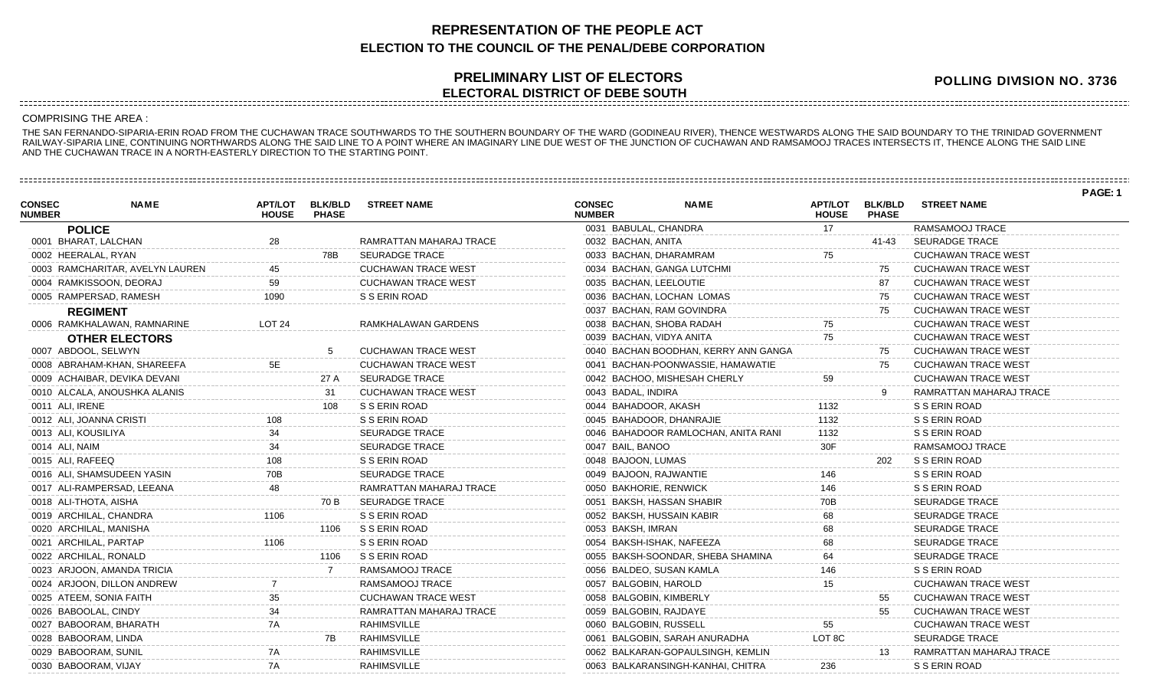## **REPRESENTATION OF THE PEOPLE ACT ELECTION TO THE COUNCIL OF THE PENAL/DEBE CORPORATION**

## **PRELIMINARY LIST OF ELECTORS ELECTORAL DISTRICT OF DEBE SOUTH**

**POLLING DIVISION NO. 3736**

## COMPRISING THE AREA :

THE SAN FERNANDO-SIPARIA-ERIN ROAD FROM THE CUCHAWAN TRACE SOUTHWARDS TO THE SOUTHERN BOUNDARY OF THE WARD (GODINEAU RIVER), THENCE WESTWARDS ALONG THE SAID BOUNDARY TO THE TRINIDAD GOVERNMENT RAILWAY-SIPARIA LINE, CONTINUING NORTHWARDS ALONG THE SAID LINE TO A POINT WHERE AN IMAGINARY LINE DUE WEST OF THE JUNCTION OF CUCHAWAN AND RAMSAMOOJ TRACES INTERSECTS IT, THENCE ALONG THE SAID LINE AND THE CUCHAWAN TRACE IN A NORTH-EASTERLY DIRECTION TO THE STARTING POINT.

|                                |                                 |                                |                                |                            |                                |                                      |                                |                                |                            | PAGE: 1 |
|--------------------------------|---------------------------------|--------------------------------|--------------------------------|----------------------------|--------------------------------|--------------------------------------|--------------------------------|--------------------------------|----------------------------|---------|
| <b>CONSEC</b><br><b>NUMBER</b> | <b>NAME</b>                     | <b>APT/LOT</b><br><b>HOUSE</b> | <b>BLK/BLD</b><br><b>PHASE</b> | <b>STREET NAME</b>         | <b>CONSEC</b><br><b>NUMBER</b> | <b>NAME</b>                          | <b>APT/LOT</b><br><b>HOUSE</b> | <b>BLK/BLD</b><br><b>PHASE</b> | <b>STREET NAME</b>         |         |
|                                | <b>POLICE</b>                   |                                |                                |                            | 0031 BABULAL, CHANDRA          |                                      |                                |                                | RAMSAMOOJ TRACE            |         |
|                                | 0001 BHARAT, LALCHAN            |                                |                                | RAMRATTAN MAHARAJ TRACE    | 0032 BACHAN, ANITA             |                                      |                                | $41 - 43$                      | <b>SEURADGE TRACE</b>      |         |
|                                | 0002 HEERALAL, RYAN             |                                | 78B                            | <b>SEURADGE TRACE</b>      | 0033 BACHAN, DHARAMRAM         |                                      | 75                             |                                | <b>CUCHAWAN TRACE WEST</b> |         |
|                                | 0003 RAMCHARITAR, AVELYN LAUREN |                                |                                | <b>CUCHAWAN TRACE WEST</b> |                                | 0034 BACHAN, GANGA LUTCHMI           |                                | 75                             | <b>CUCHAWAN TRACE WEST</b> |         |
|                                | 0004 RAMKISSOON, DEORAJ         | 59                             |                                | <b>CUCHAWAN TRACE WEST</b> | 0035 BACHAN, LEELOUTIE         |                                      |                                | 87                             | <b>CUCHAWAN TRACE WEST</b> |         |
|                                | 0005 RAMPERSAD, RAMESH          |                                |                                | S S ERIN ROAD              |                                | 0036 BACHAN, LOCHAN LOMAS            |                                | 75                             | <b>CUCHAWAN TRACE WEST</b> |         |
|                                | <b>REGIMENT</b>                 |                                |                                |                            |                                | 0037 BACHAN, RAM GOVINDRA            |                                | 75                             | <b>CUCHAWAN TRACE WEST</b> |         |
|                                | 0006 RAMKHALAWAN, RAMNARINE     | $1$ OT 24                      |                                | RAMKHALAWAN GARDENS        |                                | 0038 BACHAN, SHOBA RADAH             |                                |                                | <b>CUCHAWAN TRACE WEST</b> |         |
|                                | <b>OTHER ELECTORS</b>           |                                |                                |                            | 0039 BACHAN, VIDYA ANITA       |                                      |                                |                                | <b>CUCHAWAN TRACE WEST</b> |         |
|                                | 0007 ABDOOL, SELWYN             |                                |                                | <b>CUCHAWAN TRACE WEST</b> |                                | 0040 BACHAN BOODHAN, KERRY ANN GANGA |                                | 75                             | <b>CUCHAWAN TRACE WEST</b> |         |
|                                | 0008 ABRAHAM-KHAN, SHAREEFA     |                                |                                | <b>CUCHAWAN TRACE WEST</b> |                                | 0041 BACHAN-POONWASSIE, HAMAWATIE    |                                |                                | <b>CUCHAWAN TRACE WEST</b> |         |
|                                | 0009 ACHAIBAR, DEVIKA DEVANI    |                                | 27 A                           | <b>SEURADGE TRACE</b>      |                                | 0042 BACHOO, MISHESAH CHERLY         |                                |                                | <b>CUCHAWAN TRACE WEST</b> |         |
|                                | 0010 ALCALA, ANOUSHKA ALANIS    |                                | 31                             | <b>CUCHAWAN TRACE WEST</b> | 0043 BADAL, INDIRA             |                                      |                                |                                | RAMRATTAN MAHARAJ TRACE    |         |
| 0011 ALI, IRENE                |                                 |                                |                                | S S ERIN ROAD              | 0044 BAHADOOR, AKASH           |                                      | 1132                           |                                | S S ERIN ROAD              |         |
|                                | 0012 ALI, JOANNA CRISTI         |                                |                                | S S ERIN ROAD              |                                | 0045 BAHADOOR, DHANRAJIE             | 1132                           |                                | S S ERIN ROAD              |         |
| 0013 ALI, KOUSILIYA            |                                 |                                |                                | <b>SEURADGE TRACE</b>      |                                | 0046 BAHADOOR RAMLOCHAN, ANITA RANI  |                                |                                | S S ERIN ROAD              |         |
|                                |                                 |                                |                                |                            |                                |                                      |                                |                                |                            |         |

| 0013 ALI, KOUSILIYA        | 34   |                | <b>SEURADGE TRACE</b>      |
|----------------------------|------|----------------|----------------------------|
| 0014 ALI, NAIM             | 34   |                | <b>SEURADGE TRACE</b>      |
| 0015 ALI, RAFEEQ           | 108  |                | S S ERIN ROAD              |
| 0016 ALI, SHAMSUDEEN YASIN | 70B  |                | <b>SEURADGE TRACE</b>      |
| 0017 ALI-RAMPERSAD, LEEANA | 48   |                | RAMRATTAN MAHARAJ TRACE    |
| 0018 ALI-THOTA, AISHA      |      | 70 B           | <b>SEURADGE TRACE</b>      |
| 0019 ARCHILAL, CHANDRA     | 1106 |                | S S ERIN ROAD              |
| 0020 ARCHILAL, MANISHA     |      | 1106           | S S ERIN ROAD              |
| 0021 ARCHILAL, PARTAP      | 1106 |                | S S ERIN ROAD              |
| 0022 ARCHILAL, RONALD      |      | 1106           | S S ERIN ROAD              |
| 0023 ARJOON, AMANDA TRICIA |      | $\overline{7}$ | RAMSAMOOJ TRACE            |
| 0024 ARJOON, DILLON ANDREW | 7    |                | RAMSAMOOJ TRACE            |
| 0025 ATEEM, SONIA FAITH    | 35   |                | <b>CUCHAWAN TRACE WEST</b> |
| 0026 BABOOLAL, CINDY       | 34   |                | RAMRATTAN MAHARAJ TRACE    |
| 0027 BABOORAM, BHARATH     | 7A   |                | <b>RAHIMSVILLE</b>         |
| 0028 BABOORAM, LINDA       |      | 7B             | <b>RAHIMSVILLE</b>         |
| 0029 BABOORAM, SUNIL       | 7A   |                | <b>RAHIMSVILLE</b>         |
| 0030 BABOORAM, VIJAY       | 7A   |                | <b>RAHIMSVILLE</b>         |
|                            |      |                |                            |

| UU35 BAUHAN, LEELUUTTE               |        | ŏſ. | <b>UUUHAWAN TRAUE WEST</b> |
|--------------------------------------|--------|-----|----------------------------|
| 0036 BACHAN, LOCHAN LOMAS            |        | 75  | <b>CUCHAWAN TRACE WEST</b> |
| 0037 BACHAN, RAM GOVINDRA            |        | 75  | CUCHAWAN TRACE WEST        |
| 0038 BACHAN, SHOBA RADAH             | 75     |     | <b>CUCHAWAN TRACE WEST</b> |
| 0039 BACHAN, VIDYA ANITA             | 75     |     | <b>CUCHAWAN TRACE WEST</b> |
| 0040 BACHAN BOODHAN, KERRY ANN GANGA |        | 75  | <b>CUCHAWAN TRACE WEST</b> |
| 0041 BACHAN-POONWASSIE, HAMAWATIE    |        | 75  | <b>CUCHAWAN TRACE WEST</b> |
| 0042 BACHOO, MISHESAH CHERLY         | 59     |     | <b>CUCHAWAN TRACE WEST</b> |
| 0043 BADAL, INDIRA                   |        | 9   | RAMRATTAN MAHARAJ TRACE    |
| 0044 BAHADOOR, AKASH                 | 1132   |     | S S ERIN ROAD              |
| 0045 BAHADOOR, DHANRAJIE             | 1132   |     | S S ERIN ROAD              |
| 0046 BAHADOOR RAMLOCHAN, ANITA RANI  | 1132   |     | S S ERIN ROAD              |
| 0047 BAIL, BANOO                     | 30F    |     | RAMSAMOOJ TRACE            |
| 0048 BAJOON, LUMAS                   |        | 202 | S S ERIN ROAD              |
| 0049 BAJOON, RAJWANTIE               | 146    |     | S S ERIN ROAD              |
| 0050 BAKHORIE, RENWICK               | 146    |     | S S ERIN ROAD              |
| 0051 BAKSH, HASSAN SHABIR            | 70B    |     | <b>SEURADGE TRACE</b>      |
| 0052 BAKSH, HUSSAIN KABIR            | 68     |     | <b>SEURADGE TRACE</b>      |
| 0053 BAKSH, IMRAN                    | 68     |     | <b>SEURADGE TRACE</b>      |
| 0054 BAKSH-ISHAK, NAFEEZA            | 68     |     | <b>SEURADGE TRACE</b>      |
| 0055 BAKSH-SOONDAR, SHEBA SHAMINA    | 64     |     | <b>SEURADGE TRACE</b>      |
| 0056 BALDEO, SUSAN KAMLA             | 146    |     | S S ERIN ROAD              |
| 0057 BALGOBIN, HAROLD                | 15     |     | CUCHAWAN TRACE WEST        |
| 0058 BALGOBIN, KIMBERLY              |        | 55  | <b>CUCHAWAN TRACE WEST</b> |
| 0059 BALGOBIN, RAJDAYE               |        | 55  | <b>CUCHAWAN TRACE WEST</b> |
| 0060 BALGOBIN, RUSSELL               | 55     |     | CUCHAWAN TRACE WEST        |
| 0061 BALGOBIN, SARAH ANURADHA        | LOT 8C |     | <b>SEURADGE TRACE</b>      |
| 0062 BALKARAN-GOPAULSINGH, KEMLIN    |        | 13  | RAMRATTAN MAHARAJ TRACE    |
| 0063 BALKARANSINGH-KANHAI, CHITRA    | 236    |     | S S ERIN ROAD              |
|                                      |        |     |                            |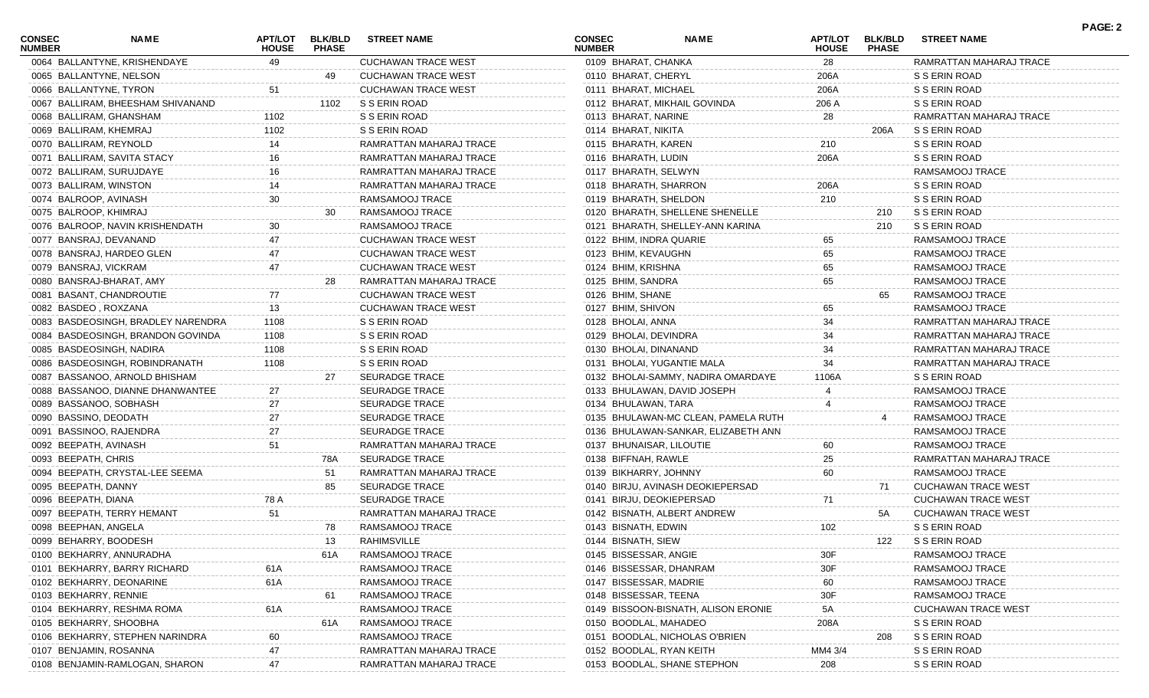| <b>CONSEC</b><br><b>NUMBER</b> | <b>NAME</b>                        | APT/LOT<br><b>HOUSE</b> | <b>BLK/BLD</b><br><b>PHASE</b> | <b>STREET NAME</b>         | <b>CONSEC</b><br><b>NUMBER</b> | <b>NAME</b>                         | <b>APT/LOT</b><br><b>HOUSE</b> | <b>BLK/BLD</b><br><b>PHASE</b> | <b>STREET NAME</b>         | <b>PAGE: 2</b> |
|--------------------------------|------------------------------------|-------------------------|--------------------------------|----------------------------|--------------------------------|-------------------------------------|--------------------------------|--------------------------------|----------------------------|----------------|
|                                | 0064 BALLANTYNE, KRISHENDAYE       | 49                      |                                | <b>CUCHAWAN TRACE WEST</b> | 0109 BHARAT, CHANKA            |                                     | 28                             |                                | RAMRATTAN MAHARAJ TRACE    |                |
|                                | 0065 BALLANTYNE, NELSON            |                         | 49                             | <b>CUCHAWAN TRACE WEST</b> | 0110 BHARAT, CHERYL            |                                     | 206A                           |                                | S S ERIN ROAD              |                |
| 0066 BALLANTYNE, TYRON         |                                    | 51                      |                                | <b>CUCHAWAN TRACE WEST</b> | 0111 BHARAT, MICHAEL           |                                     | 206A                           |                                | S S ERIN ROAD              |                |
|                                | 0067 BALLIRAM, BHEESHAM SHIVANAND  |                         | 1102                           | S S ERIN ROAD              |                                | 0112 BHARAT, MIKHAIL GOVINDA        | 206 A                          |                                | S S ERIN ROAD              |                |
|                                | 0068 BALLIRAM, GHANSHAM            | 1102                    |                                | S S ERIN ROAD              | 0113 BHARAT, NARINE            |                                     | 28                             |                                | RAMRATTAN MAHARAJ TRACE    |                |
| 0069 BALLIRAM, KHEMRAJ         |                                    | 1102                    |                                | S S ERIN ROAD              | 0114 BHARAT, NIKITA            |                                     |                                | 206A                           | S S ERIN ROAD              |                |
| 0070 BALLIRAM, REYNOLD         |                                    | 14                      |                                | RAMRATTAN MAHARAJ TRACE    | 0115 BHARATH, KAREN            |                                     | 210                            |                                | S S ERIN ROAD              |                |
|                                | 0071 BALLIRAM, SAVITA STACY        | 16                      |                                | RAMRATTAN MAHARAJ TRACE    | 0116 BHARATH, LUDIN            |                                     | 206A                           |                                | S S ERIN ROAD              |                |
|                                | 0072 BALLIRAM, SURUJDAYE           |                         |                                | RAMRATTAN MAHARAJ TRACE    | 0117 BHARATH, SELWYN           |                                     |                                |                                | RAMSAMOOJ TRACE            |                |
| 0073 BALLIRAM, WINSTON         |                                    | 14                      |                                | RAMRATTAN MAHARAJ TRACE    | 0118 BHARATH, SHARRON          |                                     | 206A                           |                                | S S ERIN ROAD              |                |
| 0074 BALROOP, AVINASH          |                                    | 30                      |                                | RAMSAMOOJ TRACE            | 0119 BHARATH, SHELDON          |                                     | 210                            |                                | S S ERIN ROAD              |                |
| 0075 BALROOP, KHIMRAJ          |                                    |                         | 30                             | RAMSAMOOJ TRACE            |                                | 0120 BHARATH, SHELLENE SHENELLE     |                                | 210                            | S S ERIN ROAD              |                |
|                                | 0076 BALROOP, NAVIN KRISHENDATH    |                         |                                | RAMSAMOOJ TRACE            |                                | 0121 BHARATH, SHELLEY-ANN KARINA    |                                | 210                            | S S ERIN ROAD              |                |
|                                | 0077 BANSRAJ, DEVANAND             |                         |                                | <b>CUCHAWAN TRACE WEST</b> | 0122 BHIM, INDRA QUARIE        |                                     | 65                             |                                | RAMSAMOOJ TRACE            |                |
|                                | 0078 BANSRAJ, HARDEO GLEN          |                         |                                | <b>CUCHAWAN TRACE WEST</b> | 0123 BHIM, KEVAUGHN            |                                     | 65                             |                                | RAMSAMOOJ TRACE            |                |
| 0079 BANSRAJ, VICKRAM          |                                    | 47                      |                                | <b>CUCHAWAN TRACE WEST</b> | 0124 BHIM, KRISHNA             |                                     | 65                             |                                | RAMSAMOOJ TRACE            |                |
|                                | 0080 BANSRAJ-BHARAT, AMY           |                         | 28                             | RAMRATTAN MAHARAJ TRACE    | 0125 BHIM, SANDRA              |                                     | 65                             |                                | RAMSAMOOJ TRACE            |                |
|                                | 0081 BASANT, CHANDROUTIE           |                         |                                | <b>CUCHAWAN TRACE WEST</b> | 0126 BHIM, SHANE               |                                     |                                | 65                             | RAMSAMOOJ TRACE            |                |
| 0082 BASDEO, ROXZANA           |                                    | 13                      |                                | <b>CUCHAWAN TRACE WEST</b> | 0127 BHIM, SHIVON              |                                     | 65                             |                                | RAMSAMOOJ TRACE            |                |
|                                | 0083 BASDEOSINGH, BRADLEY NARENDRA | 1108                    |                                | S S ERIN ROAD              | 0128 BHOLAI, ANNA              |                                     | 34                             |                                | RAMRATTAN MAHARAJ TRACE    |                |
|                                | 0084 BASDEOSINGH, BRANDON GOVINDA  | 1108                    |                                | S S ERIN ROAD              | 0129 BHOLAI, DEVINDRA          |                                     | 34                             |                                | RAMRATTAN MAHARAJ TRACE    |                |
|                                | 0085 BASDEOSINGH, NADIRA           | 1108                    |                                | S S ERIN ROAD              | 0130 BHOLAI, DINANAND          |                                     | 34                             |                                | RAMRATTAN MAHARAJ TRACE    |                |
|                                | 0086 BASDEOSINGH, ROBINDRANATH     | 1108                    |                                | S S ERIN ROAD              | 0131 BHOLAI, YUGANTIE MALA     |                                     | 34                             |                                | RAMRATTAN MAHARAJ TRACE    |                |
|                                | 0087 BASSANOO, ARNOLD BHISHAM      |                         | 27                             | <b>SEURADGE TRACE</b>      |                                | 0132 BHOLAI-SAMMY, NADIRA OMARDAYE  |                                |                                | S S ERIN ROAD              |                |
|                                |                                    |                         |                                |                            |                                |                                     | 1106A                          |                                |                            |                |
|                                | 0088 BASSANOO, DIANNE DHANWANTEE   | 27                      |                                | <b>SEURADGE TRACE</b>      |                                | 0133 BHULAWAN, DAVID JOSEPH         |                                |                                | RAMSAMOOJ TRACE            |                |
|                                | 0089 BASSANOO, SOBHASH             | 27                      |                                | <b>SEURADGE TRACE</b>      | 0134 BHULAWAN, TARA            |                                     |                                |                                | RAMSAMOOJ TRACE            |                |
| 0090 BASSINO, DEODATH          |                                    | 27                      |                                | <b>SEURADGE TRACE</b>      |                                | 0135 BHULAWAN-MC CLEAN, PAMELA RUTH |                                |                                | RAMSAMOOJ TRACE            |                |
|                                | 0091 BASSINOO, RAJENDRA            | 27                      |                                | <b>SEURADGE TRACE</b>      |                                | 0136 BHULAWAN-SANKAR, ELIZABETH ANN |                                |                                | RAMSAMOOJ TRACE            |                |
| 0092 BEEPATH, AVINASH          |                                    | 51                      |                                | RAMRATTAN MAHARAJ TRACE    | 0137 BHUNAISAR, LILOUTIE       |                                     | 60                             |                                | RAMSAMOOJ TRACE            |                |
| 0093 BEEPATH, CHRIS            |                                    |                         | 78A                            | <b>SEURADGE TRACE</b>      | 0138 BIFFNAH, RAWLE            |                                     | 25                             |                                | RAMRATTAN MAHARAJ TRACE    |                |
|                                | 0094 BEEPATH, CRYSTAL-LEE SEEMA    |                         | 51                             | RAMRATTAN MAHARAJ TRACE    | 0139 BIKHARRY, JOHNNY          |                                     | 60                             |                                | RAMSAMOOJ TRACE            |                |
| 0095 BEEPATH, DANNY            |                                    |                         | 85                             | <b>SEURADGE TRACE</b>      |                                | 0140 BIRJU, AVINASH DEOKIEPERSAD    |                                | 71                             | <b>CUCHAWAN TRACE WEST</b> |                |
| 0096 BEEPATH, DIANA            |                                    | 78 A                    |                                | <b>SEURADGE TRACE</b>      | 0141 BIRJU, DEOKIEPERSAD       |                                     | 71                             |                                | <b>CUCHAWAN TRACE WEST</b> |                |
|                                | 0097 BEEPATH, TERRY HEMANT         | 51                      |                                | RAMRATTAN MAHARAJ TRACE    |                                | 0142 BISNATH, ALBERT ANDREW         |                                | 5A                             | <b>CUCHAWAN TRACE WEST</b> |                |
| 0098 BEEPHAN, ANGELA           |                                    |                         | 78                             | RAMSAMOOJ TRACE            | 0143 BISNATH, EDWIN            |                                     | 102                            |                                | S S ERIN ROAD              |                |
| 0099 BEHARRY, BOODESH          |                                    |                         | 13                             | RAHIMSVILLE                | 0144 BISNATH, SIEW             |                                     |                                | 122                            | S S ERIN ROAD              |                |
|                                | 0100 BEKHARRY, ANNURADHA           |                         | 61A                            | RAMSAMOOJ TRACE            | 0145 BISSESSAR, ANGIE          |                                     | 30F                            |                                | RAMSAMOOJ TRACE            |                |
|                                | 0101 BEKHARRY, BARRY RICHARD       | 61A                     |                                | RAMSAMOOJ TRACE            | 0146 BISSESSAR, DHANRAM        |                                     | 30F                            |                                | RAMSAMOOJ TRACE            |                |
|                                | 0102 BEKHARRY, DEONARINE           | 61A                     |                                | RAMSAMOOJ TRACE            | 0147 BISSESSAR, MADRIE         |                                     | 60                             |                                | RAMSAMOOJ TRACE            |                |
| 0103 BEKHARRY, RENNIE          |                                    |                         | 61                             | RAMSAMOOJ TRACE            | 0148 BISSESSAR, TEENA          |                                     | 30F                            |                                | RAMSAMOOJ TRACE            |                |
|                                | 0104 BEKHARRY, RESHMA ROMA         | 61A                     |                                | RAMSAMOOJ TRACE            |                                | 0149 BISSOON-BISNATH, ALISON ERONIE | 5A                             |                                | <b>CUCHAWAN TRACE WEST</b> |                |
|                                | 0105 BEKHARRY, SHOOBHA             |                         | 61A                            | RAMSAMOOJ TRACE            | 0150 BOODLAL, MAHADEO          |                                     | 208A                           |                                | S S ERIN ROAD              |                |
|                                | 0106 BEKHARRY, STEPHEN NARINDRA    | 60                      |                                | RAMSAMOOJ TRACE            |                                | 0151 BOODLAL, NICHOLAS O'BRIEN      |                                | 208                            | S S ERIN ROAD              |                |
|                                | 0107 BENJAMIN, ROSANNA             |                         |                                | RAMRATTAN MAHARAJ TRACE    | 0152 BOODLAL, RYAN KEITH       |                                     | MM4 3/4                        |                                | S S ERIN ROAD              |                |
|                                | 0108 BENJAMIN-RAMLOGAN, SHARON     |                         |                                | RAMRATTAN MAHARAJ TRACE    |                                | 0153 BOODLAL, SHANE STEPHON         | 208                            |                                | S S ERIN ROAD              |                |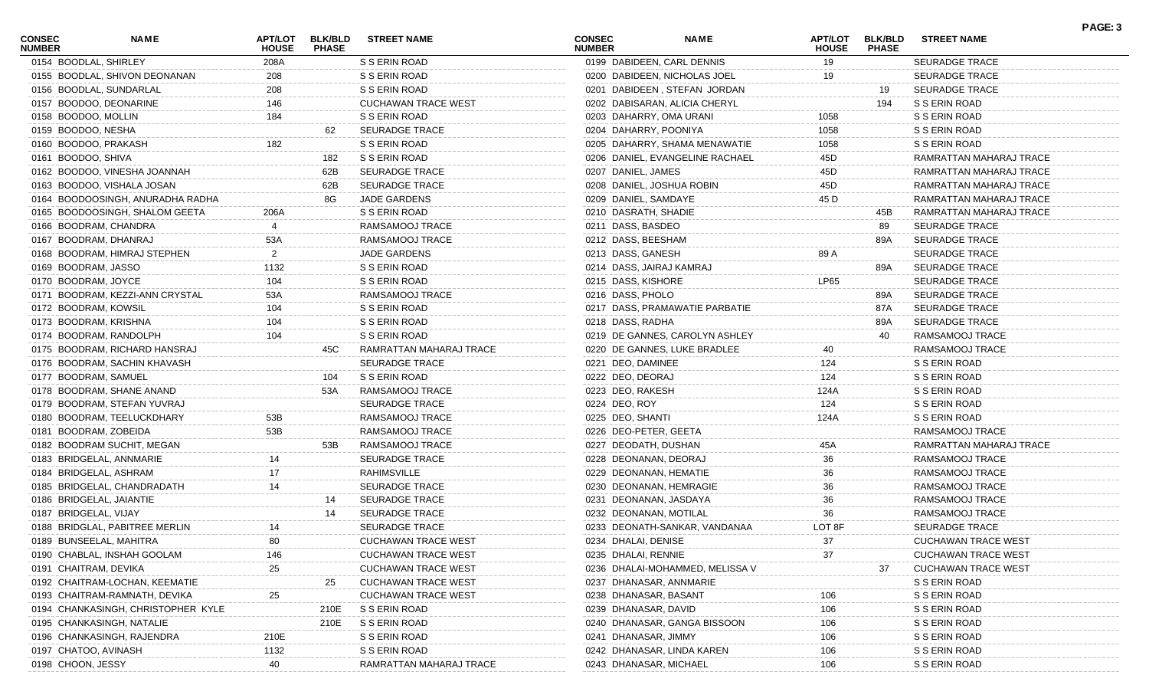| <b>CONSEC</b><br><b>NUMBER</b> | <b>NAME</b>                        | <b>APT/LOT</b><br><b>HOUSE</b> | <b>BLK/BLD</b><br><b>PHASE</b> | <b>STREET NAME</b>         | <b>CONSEC</b><br><b>NUMBER</b> | NAME                            | <b>HOUSE</b> | APT/LOT BLK/BLD<br><b>PHASE</b> | <b>STREET NAME</b>         |
|--------------------------------|------------------------------------|--------------------------------|--------------------------------|----------------------------|--------------------------------|---------------------------------|--------------|---------------------------------|----------------------------|
|                                | 0154 BOODLAL, SHIRLEY              | 208A                           |                                | S S ERIN ROAD              |                                | 0199 DABIDEEN, CARL DENNIS      | 19           |                                 | <b>SEURADGE TRACE</b>      |
|                                | 0155 BOODLAL, SHIVON DEONANAN      | 208                            |                                | S S ERIN ROAD              |                                | 0200 DABIDEEN, NICHOLAS JOEL    | 19           |                                 | <b>SEURADGE TRACE</b>      |
|                                | 0156 BOODLAL, SUNDARLAL            | 208                            |                                | S S ERIN ROAD              |                                | 0201 DABIDEEN, STEFAN JORDAN    |              | 19                              | <b>SEURADGE TRACE</b>      |
|                                | 0157 BOODOO, DEONARINE             | 146                            |                                | <b>CUCHAWAN TRACE WEST</b> |                                | 0202 DABISARAN, ALICIA CHERYL   |              | 194                             | S S ERIN ROAD              |
|                                | 0158 BOODOO, MOLLIN                | 184                            |                                | S S ERIN ROAD              |                                | 0203 DAHARRY, OMA URANI         | 1058         |                                 | S S ERIN ROAD              |
|                                | 0159 BOODOO, NESHA                 |                                | 62                             | SEURADGE TRACE             | 0204 DAHARRY, POONIYA          |                                 | 1058         |                                 | S S ERIN ROAD              |
|                                | 0160 BOODOO, PRAKASH               | 182                            |                                | S S ERIN ROAD              |                                | 0205 DAHARRY, SHAMA MENAWATIE   | 1058         |                                 | S S ERIN ROAD              |
|                                | 0161 BOODOO, SHIVA                 |                                | 182                            | S S ERIN ROAD              |                                | 0206 DANIEL, EVANGELINE RACHAEL | 45D          |                                 | RAMRATTAN MAHARAJ TRACE    |
|                                | 0162 BOODOO, VINESHA JOANNAH       |                                | 62B                            | <b>SEURADGE TRACE</b>      | 0207 DANIEL, JAMES             |                                 | 45D          |                                 | RAMRATTAN MAHARAJ TRACE    |
|                                | 0163 BOODOO, VISHALA JOSAN         |                                | 62B                            | SEURADGE TRACE             |                                | 0208 DANIEL, JOSHUA ROBIN       | 45D          |                                 | RAMRATTAN MAHARAJ TRACE    |
|                                | 0164 BOODOOSINGH, ANURADHA RADHA   |                                | 8G                             | <b>JADE GARDENS</b>        | 0209 DANIEL, SAMDAYE           |                                 | 45 D         |                                 | RAMRATTAN MAHARAJ TRACE    |
|                                | 0165 BOODOOSINGH, SHALOM GEETA     | 206A                           |                                | S S ERIN ROAD              | 0210 DASRATH, SHADIE           |                                 |              | 45B                             | RAMRATTAN MAHARAJ TRACE    |
|                                | 0166 BOODRAM, CHANDRA              |                                |                                | RAMSAMOOJ TRACE            | 0211 DASS, BASDEO              |                                 |              | 89                              | <b>SEURADGE TRACE</b>      |
|                                | 0167 BOODRAM, DHANRAJ              | 53A                            |                                | RAMSAMOOJ TRACE            | 0212 DASS, BEESHAM             |                                 |              | 89A                             | <b>SEURADGE TRACE</b>      |
|                                | 0168 BOODRAM, HIMRAJ STEPHEN       | $\overline{2}$                 |                                | JADE GARDENS               | 0213 DASS, GANESH              |                                 | 89 A         |                                 | <b>SEURADGE TRACE</b>      |
|                                | 0169 BOODRAM, JASSO                | 1132                           |                                | S S ERIN ROAD              |                                | 0214 DASS, JAIRAJ KAMRAJ        |              | 89A                             | <b>SEURADGE TRACE</b>      |
|                                | 0170 BOODRAM, JOYCE                | 104                            |                                | S S ERIN ROAD              | 0215 DASS, KISHORE             |                                 | LP65         |                                 | <b>SEURADGE TRACE</b>      |
|                                | 0171 BOODRAM, KEZZI-ANN CRYSTAL    | 53A                            |                                | RAMSAMOOJ TRACE            | 0216 DASS, PHOLO               |                                 |              | 89A                             | <b>SEURADGE TRACE</b>      |
|                                | 0172 BOODRAM, KOWSIL               | 104                            |                                | S S ERIN ROAD              |                                | 0217 DASS, PRAMAWATIE PARBATIE  |              | 87A                             | <b>SEURADGE TRACE</b>      |
|                                | 0173 BOODRAM, KRISHNA              | 104                            |                                | S S ERIN ROAD              | 0218 DASS, RADHA               |                                 |              | 89A                             | <b>SEURADGE TRACE</b>      |
|                                | 0174 BOODRAM, RANDOLPH             | 104                            |                                | S S ERIN ROAD              |                                | 0219 DE GANNES, CAROLYN ASHLEY  |              | 40                              | RAMSAMOOJ TRACE            |
|                                | 0175 BOODRAM, RICHARD HANSRAJ      |                                | 45C                            | RAMRATTAN MAHARAJ TRACE    |                                | 0220 DE GANNES, LUKE BRADLEE    | 40           |                                 | RAMSAMOOJ TRACE            |
|                                | 0176 BOODRAM, SACHIN KHAVASH       |                                |                                | SEURADGE TRACE             | 0221 DEO, DAMINEE              |                                 | 124          |                                 | S S ERIN ROAD              |
|                                | 0177 BOODRAM, SAMUEL               |                                | 104                            | S S ERIN ROAD              | 0222 DEO, DEORAJ               |                                 | 124          |                                 | S S ERIN ROAD              |
|                                | 0178 BOODRAM, SHANE ANAND          |                                | 53A                            | RAMSAMOOJ TRACE            | 0223 DEO, RAKESH               |                                 | 124A         |                                 | S S ERIN ROAD              |
|                                | 0179 BOODRAM, STEFAN YUVRAJ        |                                |                                | SEURADGE TRACE             | 0224 DEO, ROY                  |                                 | 124          |                                 | S S ERIN ROAD              |
|                                | 0180 BOODRAM, TEELUCKDHARY         | 53B                            |                                | RAMSAMOOJ TRACE            | 0225 DEO, SHANTI               |                                 | 124A         |                                 | S S ERIN ROAD              |
|                                | 0181 BOODRAM, ZOBEIDA              | 53B                            |                                | RAMSAMOOJ TRACE            | 0226 DEO-PETER, GEETA          |                                 |              |                                 | RAMSAMOOJ TRACE            |
|                                | 0182 BOODRAM SUCHIT, MEGAN         |                                | 53B                            | RAMSAMOOJ TRACE            | 0227 DEODATH, DUSHAN           |                                 | 45A          |                                 | RAMRATTAN MAHARAJ TRACE    |
|                                | 0183 BRIDGELAL, ANNMARIE           | 14                             |                                | <b>SEURADGE TRACE</b>      | 0228 DEONANAN, DEORAJ          |                                 | 36           |                                 | RAMSAMOOJ TRACE            |
|                                | 0184 BRIDGELAL, ASHRAM             | 17                             |                                | RAHIMSVILLE                |                                | 0229 DEONANAN, HEMATIE          | 36           |                                 | RAMSAMOOJ TRACE            |
|                                | 0185 BRIDGELAL, CHANDRADATH        | 14                             |                                | <b>SEURADGE TRACE</b>      |                                | 0230 DEONANAN, HEMRAGIE         | 36           |                                 | RAMSAMOOJ TRACE            |
|                                | 0186 BRIDGELAL, JAIANTIE           |                                | 14                             | SEURADGE TRACE             |                                | 0231 DEONANAN, JASDAYA          | 36           |                                 | RAMSAMOOJ TRACE            |
|                                | 0187 BRIDGELAL, VIJAY              |                                | 14                             | SEURADGE TRACE             |                                | 0232 DEONANAN, MOTILAL          | 36           |                                 | RAMSAMOOJ TRACE            |
|                                | 0188 BRIDGLAL, PABITREE MERLIN     |                                |                                | <b>SEURADGE TRACE</b>      |                                | 0233 DEONATH-SANKAR, VANDANAA   | LOT 8F       |                                 | <b>SEURADGE TRACE</b>      |
|                                | 0189 BUNSEELAL, MAHITRA            | 80                             |                                | <b>CUCHAWAN TRACE WEST</b> | 0234 DHALAI, DENISE            |                                 | 37           |                                 | <b>CUCHAWAN TRACE WEST</b> |
|                                | 0190 CHABLAL, INSHAH GOOLAM        | 146                            |                                | <b>CUCHAWAN TRACE WEST</b> | 0235 DHALAI, RENNIE            |                                 | 37           |                                 | <b>CUCHAWAN TRACE WEST</b> |
|                                | 0191 CHAITRAM, DEVIKA              | 25                             |                                | <b>CUCHAWAN TRACE WEST</b> |                                | 0236 DHALAI-MOHAMMED, MELISSA V |              |                                 | <b>CUCHAWAN TRACE WEST</b> |
|                                | 0192 CHAITRAM-LOCHAN, KEEMATIE     |                                | 25                             | <b>CUCHAWAN TRACE WEST</b> |                                | 0237 DHANASAR, ANNMARIE         |              |                                 | S S ERIN ROAD              |
|                                | 0193 CHAITRAM-RAMNATH, DEVIKA      | 25                             |                                | <b>CUCHAWAN TRACE WEST</b> | 0238 DHANASAR, BASANT          |                                 | 106          |                                 | S S ERIN ROAD              |
|                                | 0194 CHANKASINGH, CHRISTOPHER KYLE |                                | 210E                           | S S ERIN ROAD              | 0239 DHANASAR, DAVID           |                                 | 106          |                                 | S S ERIN ROAD              |
|                                | 0195 CHANKASINGH, NATALIE          |                                | 210E                           | S S ERIN ROAD              |                                | 0240 DHANASAR, GANGA BISSOON    | 106          |                                 | S S ERIN ROAD              |
|                                | 0196 CHANKASINGH, RAJENDRA         | 210E                           |                                | S S ERIN ROAD              | 0241 DHANASAR, JIMMY           |                                 | 106          |                                 | S S ERIN ROAD              |
|                                | 0197 CHATOO, AVINASH               | 1132                           |                                | S S ERIN ROAD              |                                | 0242 DHANASAR, LINDA KAREN      | 106          |                                 | S S ERIN ROAD              |
|                                | 0198 CHOON, JESSY                  | 40                             |                                | RAMRATTAN MAHARAJ TRACE    | 0243 DHANASAR, MICHAEL         |                                 | 106          |                                 | S S ERIN ROAD              |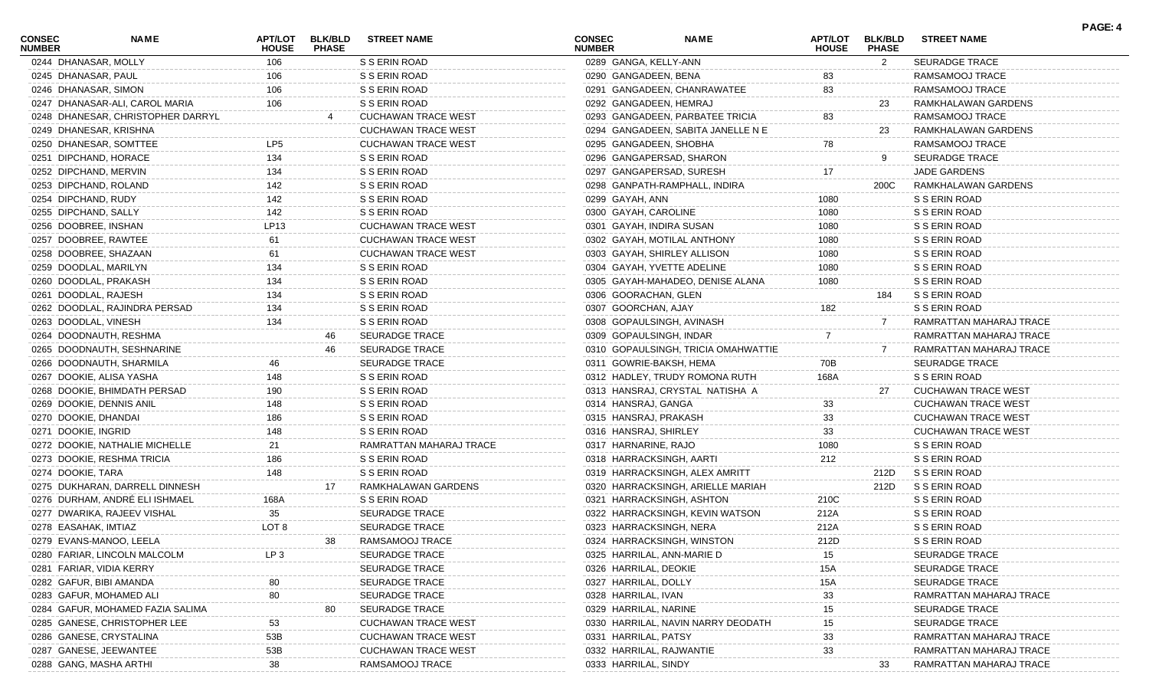| <b>CONSEC</b><br><b>NUMBER</b> | <b>NAME</b>                       | <b>HOUSE</b>    | APT/LOT BLK/BLD<br><b>PHASE</b> | <b>STREET NAME</b>         | <b>CONSEC</b><br><b>NUMBER</b> | <b>NAME</b>                         | <b>APT/LOT</b><br><b>HOUSE</b> | <b>BLK/BLD</b><br><b>PHASE</b> | <b>STREET NAME</b>         |
|--------------------------------|-----------------------------------|-----------------|---------------------------------|----------------------------|--------------------------------|-------------------------------------|--------------------------------|--------------------------------|----------------------------|
|                                | 0244 DHANASAR, MOLLY              | 106             |                                 | S S ERIN ROAD              |                                | 0289 GANGA, KELLY-ANN               |                                | 2                              | <b>SEURADGE TRACE</b>      |
|                                | 0245 DHANASAR, PAUL               | 106             |                                 | S S ERIN ROAD              |                                | 0290 GANGADEEN, BENA                | 83                             |                                | RAMSAMOOJ TRACE            |
|                                | 0246 DHANASAR, SIMON              | 106             |                                 | S S ERIN ROAD              |                                | 0291 GANGADEEN, CHANRAWATEE         | 83                             |                                | RAMSAMOOJ TRACE            |
|                                | 0247 DHANASAR-ALI, CAROL MARIA    | 106             |                                 | S S ERIN ROAD              |                                | 0292 GANGADEEN, HEMRAJ              |                                | 23                             | RAMKHALAWAN GARDENS        |
|                                | 0248 DHANESAR, CHRISTOPHER DARRYL |                 |                                 | <b>CUCHAWAN TRACE WEST</b> |                                | 0293 GANGADEEN, PARBATEE TRICIA     | 83                             |                                | RAMSAMOOJ TRACE            |
|                                | 0249 DHANESAR, KRISHNA            |                 |                                 | <b>CUCHAWAN TRACE WEST</b> |                                | 0294 GANGADEEN, SABITA JANELLE N E  |                                | 23                             | RAMKHALAWAN GARDENS        |
|                                | 0250 DHANESAR, SOMTTEE            | LP <sub>5</sub> |                                 | <b>CUCHAWAN TRACE WEST</b> |                                | 0295 GANGADEEN, SHOBHA              | 78                             |                                | RAMSAMOOJ TRACE            |
|                                | 0251 DIPCHAND, HORACE             | 134             |                                 | S S ERIN ROAD              |                                | 0296 GANGAPERSAD, SHARON            |                                |                                | <b>SEURADGE TRACE</b>      |
|                                | 0252 DIPCHAND, MERVIN             | 134             |                                 | S S ERIN ROAD              |                                | 0297 GANGAPERSAD, SURESH            | 17                             |                                | <b>JADE GARDENS</b>        |
|                                | 0253 DIPCHAND, ROLAND             | 142             |                                 | S S ERIN ROAD              |                                | 0298 GANPATH-RAMPHALL, INDIRA       |                                | 200C                           | RAMKHALAWAN GARDENS        |
|                                | 0254 DIPCHAND, RUDY               | 142             |                                 | S S ERIN ROAD              | 0299 GAYAH, ANN                |                                     | 1080                           |                                | S S ERIN ROAD              |
|                                | 0255 DIPCHAND, SALLY              | 142             |                                 | S S ERIN ROAD              |                                | 0300 GAYAH, CAROLINE                | 1080                           |                                | S S ERIN ROAD              |
|                                | 0256 DOOBREE, INSHAN              | LP13            |                                 | <b>CUCHAWAN TRACE WEST</b> |                                | 0301 GAYAH, INDIRA SUSAN            | 1080                           |                                | S S ERIN ROAD              |
|                                | 0257 DOOBREE, RAWTEE              | 61              |                                 | <b>CUCHAWAN TRACE WEST</b> |                                | 0302 GAYAH, MOTILAL ANTHONY         | 1080                           |                                | S S ERIN ROAD              |
|                                | 0258 DOOBREE, SHAZAAN             | 61              |                                 | <b>CUCHAWAN TRACE WEST</b> |                                | 0303 GAYAH, SHIRLEY ALLISON         | 1080                           |                                | S S ERIN ROAD              |
|                                | 0259 DOODLAL, MARILYN             | 134             |                                 | S S ERIN ROAD              |                                | 0304 GAYAH, YVETTE ADELINE          | 1080                           |                                | S S ERIN ROAD              |
|                                | 0260 DOODLAL, PRAKASH             | 134             |                                 | S S ERIN ROAD              |                                | 0305 GAYAH-MAHADEO, DENISE ALANA    | 1080                           |                                | S S ERIN ROAD              |
|                                | 0261 DOODLAL, RAJESH              | 134             |                                 | S S ERIN ROAD              |                                | 0306 GOORACHAN, GLEN                |                                | 184                            | S S ERIN ROAD              |
|                                | 0262 DOODLAL, RAJINDRA PERSAD     | 134             |                                 | S S ERIN ROAD              |                                | 0307 GOORCHAN, AJAY                 | 182                            |                                | S S ERIN ROAD              |
|                                | 0263 DOODLAL, VINESH              | 134             |                                 | S S ERIN ROAD              |                                | 0308 GOPAULSINGH, AVINASH           |                                |                                | RAMRATTAN MAHARAJ TRACE    |
|                                | 0264 DOODNAUTH, RESHMA            |                 | 46                              | <b>SEURADGE TRACE</b>      |                                | 0309 GOPAULSINGH, INDAR             |                                |                                | RAMRATTAN MAHARAJ TRACE    |
|                                | 0265 DOODNAUTH, SESHNARINE        |                 | 46                              | <b>SEURADGE TRACE</b>      |                                | 0310 GOPAULSINGH, TRICIA OMAHWATTIE |                                |                                | RAMRATTAN MAHARAJ TRACE    |
|                                | 0266 DOODNAUTH, SHARMILA          | 46              |                                 | <b>SEURADGE TRACE</b>      |                                | 0311 GOWRIE-BAKSH, HEMA             | 70B                            |                                | <b>SEURADGE TRACE</b>      |
|                                | 0267 DOOKIE, ALISA YASHA          | 148             |                                 | S S ERIN ROAD              |                                | 0312 HADLEY, TRUDY ROMONA RUTH      | 168A                           |                                | S S ERIN ROAD              |
|                                | 0268 DOOKIE, BHIMDATH PERSAD      | 190             |                                 | S S ERIN ROAD              |                                | 0313 HANSRAJ, CRYSTAL NATISHA A     |                                | 27                             | <b>CUCHAWAN TRACE WEST</b> |
|                                | 0269 DOOKIE, DENNIS ANIL          | 148             |                                 | S S ERIN ROAD              |                                | 0314 HANSRAJ, GANGA                 | 33                             |                                | <b>CUCHAWAN TRACE WEST</b> |
|                                | 0270 DOOKIE, DHANDAI              | 186             |                                 | S S ERIN ROAD              |                                | 0315 HANSRAJ, PRAKASH               | 33                             |                                | <b>CUCHAWAN TRACE WEST</b> |
|                                | 0271 DOOKIE, INGRID               | 148             |                                 | S S ERIN ROAD              |                                | 0316 HANSRAJ, SHIRLEY               | 33                             |                                | <b>CUCHAWAN TRACE WEST</b> |
|                                | 0272 DOOKIE, NATHALIE MICHELLE    | 21              |                                 | RAMRATTAN MAHARAJ TRACE    |                                | 0317 HARNARINE, RAJO                | 1080                           |                                | S S ERIN ROAD              |
|                                | 0273 DOOKIE, RESHMA TRICIA        | 186             |                                 | S S ERIN ROAD              |                                | 0318 HARRACKSINGH, AARTI            | 212                            |                                | S S ERIN ROAD              |
| 0274 DOOKIE, TARA              |                                   | 148             |                                 | S S ERIN ROAD              |                                | 0319 HARRACKSINGH, ALEX AMRITT      |                                | 212D                           | S S ERIN ROAD              |
|                                | 0275 DUKHARAN, DARRELL DINNESH    |                 | 17                              | RAMKHALAWAN GARDENS        |                                | 0320 HARRACKSINGH, ARIELLE MARIAH   |                                | 212D                           | S S ERIN ROAD              |
|                                | 0276 DURHAM, ANDRÉ ELI ISHMAEL    | 168A            |                                 | S S ERIN ROAD              |                                | 0321 HARRACKSINGH, ASHTON           | 210C                           |                                | S S ERIN ROAD              |
|                                | 0277 DWARIKA, RAJEEV VISHAL       | 35              |                                 | <b>SEURADGE TRACE</b>      |                                | 0322 HARRACKSINGH, KEVIN WATSON     | 212A                           |                                | S S ERIN ROAD              |
|                                | 0278 EASAHAK, IMTIAZ              | LOT 8           |                                 | <b>SEURADGE TRACE</b>      |                                | 0323 HARRACKSINGH, NERA             | 212A                           |                                | S S ERIN ROAD              |
|                                | 0279 EVANS-MANOO, LEELA           |                 |                                 | RAMSAMOOJ TRACE            |                                | 0324 HARRACKSINGH, WINSTON          | 212D                           |                                | S S ERIN ROAD              |
|                                | 0280 FARIAR, LINCOLN MALCOLM      | LP <sub>3</sub> |                                 | <b>SEURADGE TRACE</b>      |                                | 0325 HARRILAL, ANN-MARIE D          |                                |                                | <b>SEURADGE TRACE</b>      |
|                                | 0281 FARIAR, VIDIA KERRY          |                 |                                 | <b>SEURADGE TRACE</b>      |                                | 0326 HARRILAL, DEOKIE               | 15A                            |                                | <b>SEURADGE TRACE</b>      |
|                                | 0282 GAFUR, BIBI AMANDA           |                 |                                 | <b>SEURADGE TRACE</b>      |                                | 0327 HARRILAL, DOLLY                | 15A                            |                                | <b>SEURADGE TRACE</b>      |
|                                | 0283 GAFUR, MOHAMED ALI           |                 |                                 | <b>SEURADGE TRACE</b>      | 0328 HARRILAL, IVAN            |                                     | 33                             |                                | RAMRATTAN MAHARAJ TRACE    |
|                                | 0284 GAFUR, MOHAMED FAZIA SALIMA  |                 |                                 | <b>SEURADGE TRACE</b>      |                                | 0329 HARRILAL, NARINE               | 15                             |                                | <b>SEURADGE TRACE</b>      |
|                                | 0285 GANESE, CHRISTOPHER LEE      | 53              |                                 | <b>CUCHAWAN TRACE WEST</b> |                                | 0330 HARRILAL, NAVIN NARRY DEODATH  | 15                             |                                | <b>SEURADGE TRACE</b>      |
|                                | 0286 GANESE, CRYSTALINA           | 53B             |                                 | <b>CUCHAWAN TRACE WEST</b> |                                | 0331 HARRILAL, PATSY                | 33                             |                                | RAMRATTAN MAHARAJ TRACE    |
|                                | 0287 GANESE, JEEWANTEE            | 53B             |                                 | <b>CUCHAWAN TRACE WEST</b> |                                | 0332 HARRILAL, RAJWANTIE            | 33                             |                                | RAMRATTAN MAHARAJ TRACE    |
|                                | 0288 GANG, MASHA ARTHI            | 38              |                                 | RAMSAMOOJ TRACE            |                                | 0333 HARRILAL, SINDY                |                                | 33                             | RAMRATTAN MAHARAJ TRACE    |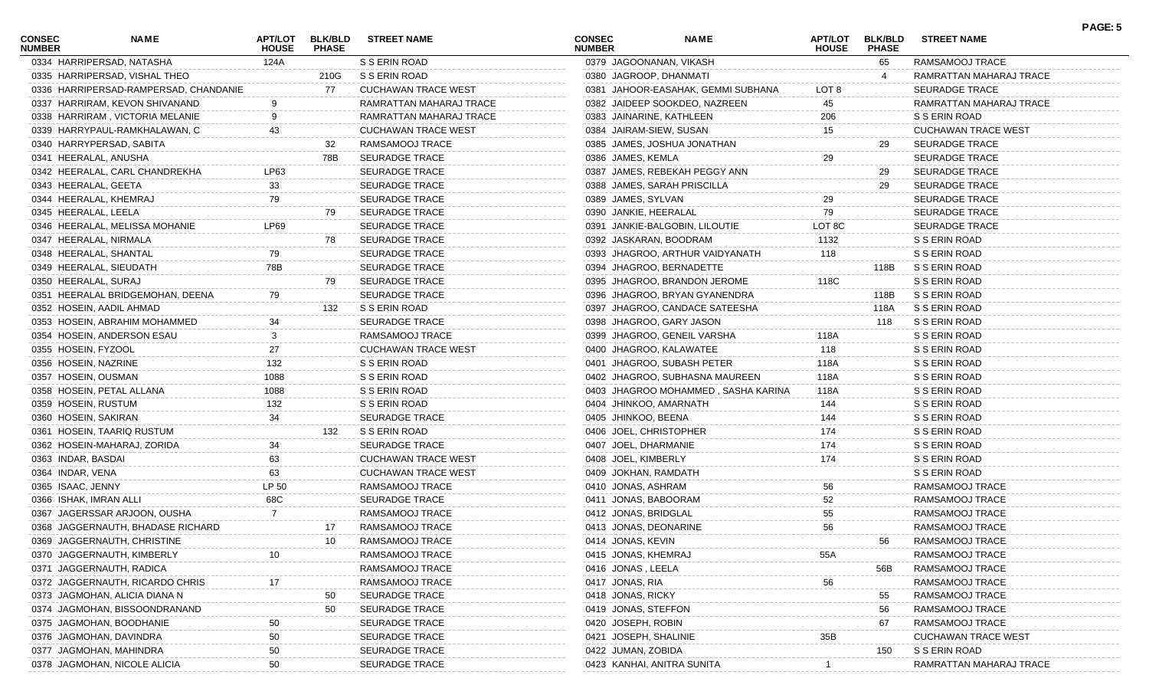| <b>CONSEC</b><br><b>NUMBER</b> | <b>NAME</b>                                                      | APT/LOT<br><b>HOUSE</b> | <b>BLK/BLD</b><br><b>PHASE</b> | <b>STREET NAME</b>         | <b>CONSEC</b><br><b>NUMBER</b>             | <b>NAME</b>                         | <b>APT/LOT</b><br><b>HOUSE</b> | <b>BLK/BLD</b><br><b>PHASE</b> | <b>STREET NAME</b>         | PAGE: 5 |
|--------------------------------|------------------------------------------------------------------|-------------------------|--------------------------------|----------------------------|--------------------------------------------|-------------------------------------|--------------------------------|--------------------------------|----------------------------|---------|
|                                | 0334 HARRIPERSAD, NATASHA                                        | 124A                    |                                | S S ERIN ROAD              | 0379 JAGOONANAN, VIKASH                    |                                     |                                | 65                             | RAMSAMOOJ TRACE            |         |
|                                | 0335 HARRIPERSAD, VISHAL THEO                                    |                         | 210G                           | S S ERIN ROAD              | 0380 JAGROOP, DHANMATI                     |                                     |                                | 4                              | RAMRATTAN MAHARAJ TRACE    |         |
|                                | 0336 HARRIPERSAD-RAMPERSAD, CHANDANIE                            |                         | 77                             | <b>CUCHAWAN TRACE WEST</b> |                                            | 0381 JAHOOR-EASAHAK, GEMMI SUBHANA  | LOT <sub>8</sub>               |                                | <b>SEURADGE TRACE</b>      |         |
|                                | 0337 HARRIRAM, KEVON SHIVANAND                                   |                         |                                | RAMRATTAN MAHARAJ TRACE    |                                            | 0382 JAIDEEP SOOKDEO, NAZREEN       | 45                             |                                | RAMRATTAN MAHARAJ TRACE    |         |
|                                | 0338 HARRIRAM, VICTORIA MELANIE                                  |                         |                                | RAMRATTAN MAHARAJ TRACE    | 0383 JAINARINE, KATHLEEN                   |                                     | 206                            |                                | S S ERIN ROAD              |         |
|                                | 0339 HARRYPAUL-RAMKHALAWAN, C                                    | 43                      |                                | <b>CUCHAWAN TRACE WEST</b> | 0384 JAIRAM-SIEW, SUSAN                    |                                     | 15                             |                                | <b>CUCHAWAN TRACE WEST</b> |         |
|                                | 0340 HARRYPERSAD, SABITA                                         |                         | 32                             | RAMSAMOOJ TRACE            |                                            | 0385 JAMES, JOSHUA JONATHAN         |                                | 29                             | <b>SEURADGE TRACE</b>      |         |
| 0341 HEERALAL, ANUSHA          |                                                                  |                         | 78B                            | <b>SEURADGE TRACE</b>      | 0386 JAMES, KEMLA                          |                                     | 29                             |                                | <b>SEURADGE TRACE</b>      |         |
|                                | 0342 HEERALAL, CARL CHANDREKHA                                   | LP63                    |                                | <b>SEURADGE TRACE</b>      |                                            | 0387 JAMES, REBEKAH PEGGY ANN       |                                | 29                             | <b>SEURADGE TRACE</b>      |         |
| 0343 HEERALAL, GEETA           |                                                                  | 33                      |                                | <b>SEURADGE TRACE</b>      |                                            | 0388 JAMES, SARAH PRISCILLA         |                                | 29                             | <b>SEURADGE TRACE</b>      |         |
|                                | 0344 HEERALAL, KHEMRAJ                                           | 79                      |                                | <b>SEURADGE TRACE</b>      | 0389 JAMES, SYLVAN                         |                                     | 29                             |                                | <b>SEURADGE TRACE</b>      |         |
| 0345 HEERALAL, LEELA           |                                                                  |                         | 79                             | SEURADGE TRACE             | 0390 JANKIE, HEERALAL                      |                                     | 79                             |                                | <b>SEURADGE TRACE</b>      |         |
|                                | 0346 HEERALAL, MELISSA MOHANIE                                   | LP69                    |                                | <b>SEURADGE TRACE</b>      |                                            | 0391 JANKIE-BALGOBIN, LILOUTIE      | LOT 8C                         |                                | <b>SEURADGE TRACE</b>      |         |
|                                | 0347 HEERALAL, NIRMALA                                           |                         | 78                             | SEURADGE TRACE             | 0392 JASKARAN, BOODRAM                     |                                     | 1132                           |                                | S S ERIN ROAD              |         |
|                                | 0348 HEERALAL, SHANTAL                                           | 79                      |                                | <b>SEURADGE TRACE</b>      |                                            | 0393 JHAGROO, ARTHUR VAIDYANATH     | 118                            |                                | S S ERIN ROAD              |         |
|                                | 0349 HEERALAL, SIEUDATH                                          | 78B                     |                                | <b>SEURADGE TRACE</b>      |                                            | 0394 JHAGROO, BERNADETTE            |                                | 118B                           | S S ERIN ROAD              |         |
| 0350 HEERALAL, SURAJ           |                                                                  |                         | 79                             | <b>SEURADGE TRACE</b>      |                                            | 0395 JHAGROO, BRANDON JEROME        | 118C                           |                                | S S ERIN ROAD              |         |
|                                | 0351 HEERALAL BRIDGEMOHAN, DEENA                                 | 79                      |                                | <b>SEURADGE TRACE</b>      |                                            | 0396 JHAGROO, BRYAN GYANENDRA       |                                | 118B                           | S S ERIN ROAD              |         |
|                                | 0352 HOSEIN, AADIL AHMAD                                         |                         | 132                            | S S ERIN ROAD              |                                            | 0397 JHAGROO, CANDACE SATEESHA      |                                | 118A                           | S S ERIN ROAD              |         |
|                                | 0353 HOSEIN, ABRAHIM MOHAMMED                                    | 34                      |                                | <b>SEURADGE TRACE</b>      |                                            | 0398 JHAGROO, GARY JASON            |                                | 118                            | S S ERIN ROAD              |         |
|                                | 0354 HOSEIN, ANDERSON ESAU                                       | 3                       |                                | RAMSAMOOJ TRACE            |                                            | 0399 JHAGROO, GENEIL VARSHA         | 118A                           |                                | S S ERIN ROAD              |         |
| 0355 HOSEIN, FYZOOL            |                                                                  | 27                      |                                | <b>CUCHAWAN TRACE WEST</b> | 0400 JHAGROO, KALAWATEE                    |                                     | 118                            |                                | S S ERIN ROAD              |         |
| 0356 HOSEIN, NAZRINE           |                                                                  | 132                     |                                | S S ERIN ROAD              |                                            | 0401 JHAGROO, SUBASH PETER          | 118A                           |                                | S S ERIN ROAD              |         |
| 0357 HOSEIN, OUSMAN            |                                                                  | 1088                    |                                | S S ERIN ROAD              |                                            | 0402 JHAGROO, SUBHASNA MAUREEN      | 118A                           |                                | S S ERIN ROAD              |         |
|                                | 0358 HOSEIN, PETAL ALLANA                                        | 1088                    |                                | S S ERIN ROAD              |                                            | 0403 JHAGROO MOHAMMED, SASHA KARINA | 118A                           |                                | S S ERIN ROAD              |         |
| 0359 HOSEIN, RUSTUM            |                                                                  | 132                     |                                | S S ERIN ROAD              | 0404 JHINKOO, AMARNATH                     |                                     | 144                            |                                | S S ERIN ROAD              |         |
| 0360 HOSEIN, SAKIRAN           |                                                                  | 34                      |                                | <b>SEURADGE TRACE</b>      | 0405 JHINKOO, BEENA                        |                                     | 144                            |                                | S S ERIN ROAD              |         |
|                                | 0361 HOSEIN, TAARIQ RUSTUM                                       |                         | 132                            | S S ERIN ROAD              | 0406 JOEL, CHRISTOPHER                     |                                     | 174                            |                                | S S ERIN ROAD              |         |
|                                | 0362 HOSEIN-MAHARAJ, ZORIDA                                      | 34                      |                                | <b>SEURADGE TRACE</b>      | 0407 JOEL, DHARMANIE                       |                                     | 174                            |                                | S S ERIN ROAD              |         |
| 0363 INDAR, BASDAI             |                                                                  | 63                      |                                | <b>CUCHAWAN TRACE WEST</b> | 0408 JOEL, KIMBERLY                        |                                     | 174                            |                                | S S ERIN ROAD              |         |
| 0364 INDAR, VENA               |                                                                  | 63                      |                                | <b>CUCHAWAN TRACE WEST</b> | 0409 JOKHAN, RAMDATH                       |                                     |                                |                                | S S ERIN ROAD              |         |
| 0365 ISAAC, JENNY              |                                                                  | LP 50                   |                                | RAMSAMOOJ TRACE            | 0410 JONAS, ASHRAM                         |                                     | 56                             |                                | RAMSAMOOJ TRACE            |         |
| 0366 ISHAK, IMRAN ALLI         |                                                                  | 68C                     |                                | <b>SEURADGE TRACE</b>      | 0411 JONAS, BABOORAM                       |                                     | 52                             |                                | RAMSAMOOJ TRACE            |         |
|                                | 0367 JAGERSSAR ARJOON, OUSHA                                     |                         |                                | RAMSAMOOJ TRACE            | 0412 JONAS, BRIDGLAL                       |                                     | 55                             |                                | RAMSAMOOJ TRACE            |         |
|                                |                                                                  |                         |                                | RAMSAMOOJ TRACE            |                                            |                                     | 56                             |                                | RAMSAMOOJ TRACE            |         |
|                                | 0368 JAGGERNAUTH, BHADASE RICHARD<br>0369 JAGGERNAUTH, CHRISTINE |                         | 10                             | RAMSAMOOJ TRACE            | 0413 JONAS, DEONARINE<br>0414 JONAS, KEVIN |                                     |                                | 56                             | RAMSAMOOJ TRACE            |         |
|                                | 0370 JAGGERNAUTH, KIMBERLY                                       |                         |                                | RAMSAMOOJ TRACE            |                                            |                                     |                                |                                |                            |         |
|                                |                                                                  |                         |                                |                            | 0415 JONAS, KHEMRAJ                        |                                     | 55A                            |                                | RAMSAMOOJ TRACE            |         |
|                                | 0371 JAGGERNAUTH, RADICA                                         |                         |                                | RAMSAMOOJ TRACE            | 0416 JONAS, LEELA                          |                                     |                                | 56B                            | RAMSAMOOJ TRACE            |         |
|                                | 0372 JAGGERNAUTH, RICARDO CHRIS                                  |                         |                                | RAMSAMOOJ TRACE            | 0417 JONAS, RIA                            |                                     | 56                             |                                | RAMSAMOOJ TRACE            |         |
|                                | 0373 JAGMOHAN, ALICIA DIANA N                                    |                         | 50                             | <b>SEURADGE TRACE</b>      | 0418 JONAS, RICKY                          |                                     |                                | 55                             | RAMSAMOOJ TRACE            |         |
|                                | 0374 JAGMOHAN, BISSOONDRANAND                                    |                         | 50                             | <b>SEURADGE TRACE</b>      | 0419 JONAS, STEFFON                        |                                     |                                | 56                             | RAMSAMOOJ TRACE            |         |
|                                | 0375 JAGMOHAN, BOODHANIE                                         | 50                      |                                | <b>SEURADGE TRACE</b>      | 0420 JOSEPH, ROBIN                         |                                     |                                | 67                             | RAMSAMOOJ TRACE            |         |
|                                | 0376 JAGMOHAN, DAVINDRA                                          | 50                      |                                | <b>SEURADGE TRACE</b>      | 0421 JOSEPH, SHALINIE                      |                                     | 35B                            |                                | <b>CUCHAWAN TRACE WEST</b> |         |
|                                | 0377 JAGMOHAN, MAHINDRA                                          | 50                      |                                | <b>SEURADGE TRACE</b>      | 0422 JUMAN, ZOBIDA                         |                                     |                                | 150                            | S S ERIN ROAD              |         |
|                                | 0378 JAGMOHAN, NICOLE ALICIA                                     | 50                      |                                | <b>SEURADGE TRACE</b>      | 0423 KANHAI, ANITRA SUNITA                 |                                     |                                |                                | RAMRATTAN MAHARAJ TRACE    |         |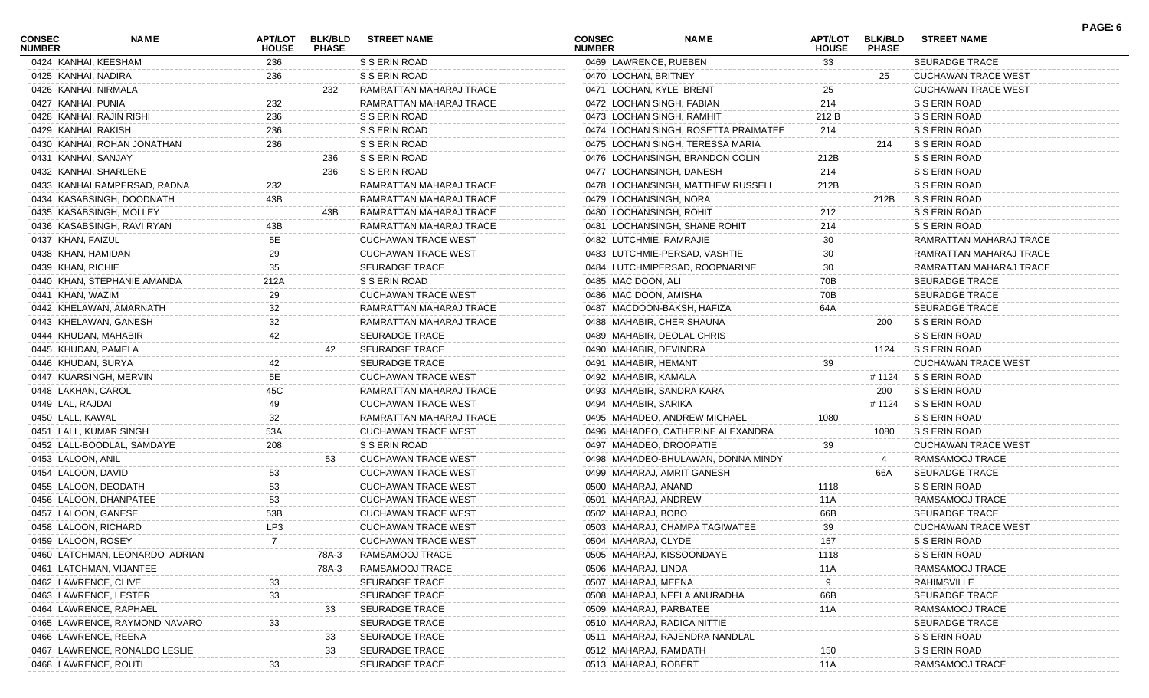| <b>CONSEC</b><br><b>NUMBER</b> | NAME                           | APT/LOT<br><b>HOUSE</b> | <b>BLK/BLD</b><br><b>PHASE</b> | <b>STREET NAME</b>         | <b>CONSEC</b><br><b>NUMBER</b> | <b>NAME</b>                          | <b>APT/LOT</b><br><b>HOUSE</b> | <b>BLK/BLD</b><br><b>PHASE</b> | <b>STREET NAME</b>         | PAGE: 6 |
|--------------------------------|--------------------------------|-------------------------|--------------------------------|----------------------------|--------------------------------|--------------------------------------|--------------------------------|--------------------------------|----------------------------|---------|
| 0424 KANHAI, KEESHAM           |                                | 236                     |                                | S S ERIN ROAD              | 0469 LAWRENCE, RUEBEN          |                                      | 33                             |                                | SEURADGE TRACE             |         |
| 0425 KANHAI, NADIRA            |                                | 236                     |                                | S S ERIN ROAD              | 0470 LOCHAN, BRITNEY           |                                      |                                | 25                             | <b>CUCHAWAN TRACE WEST</b> |         |
| 0426 KANHAI, NIRMALA           |                                |                         | 232                            | RAMRATTAN MAHARAJ TRACE    | 0471 LOCHAN, KYLE BRENT        |                                      | 25                             |                                | <b>CUCHAWAN TRACE WEST</b> |         |
| 0427 KANHAI, PUNIA             |                                | 232                     |                                | RAMRATTAN MAHARAJ TRACE    | 0472 LOCHAN SINGH, FABIAN      |                                      | 214                            |                                | S S ERIN ROAD              |         |
| 0428 KANHAI, RAJIN RISHI       |                                | 236                     |                                | S S ERIN ROAD              | 0473 LOCHAN SINGH, RAMHIT      |                                      | 212 B                          |                                | S S ERIN ROAD              |         |
| 0429 KANHAI, RAKISH            |                                | 236                     |                                | S S ERIN ROAD              |                                | 0474 LOCHAN SINGH, ROSETTA PRAIMATEE | 214                            |                                | S S ERIN ROAD              |         |
|                                | 0430 KANHAI, ROHAN JONATHAN    | 236                     |                                | S S ERIN ROAD              |                                | 0475 LOCHAN SINGH, TERESSA MARIA     |                                | 214                            | S S ERIN ROAD              |         |
| 0431 KANHAI, SANJAY            |                                |                         | 236                            | S S ERIN ROAD              |                                | 0476 LOCHANSINGH, BRANDON COLIN      | 212B                           |                                | S S ERIN ROAD              |         |
| 0432 KANHAI, SHARLENE          |                                |                         | 236                            | S S ERIN ROAD              | 0477 LOCHANSINGH, DANESH       |                                      | 214                            |                                | S S ERIN ROAD              |         |
|                                | 0433 KANHAI RAMPERSAD, RADNA   | 232                     |                                | RAMRATTAN MAHARAJ TRACE    |                                | 0478 LOCHANSINGH, MATTHEW RUSSELL    | 212B                           |                                | S S ERIN ROAD              |         |
|                                | 0434 KASABSINGH, DOODNATH      | 43B                     |                                | RAMRATTAN MAHARAJ TRACE    | 0479 LOCHANSINGH, NORA         |                                      |                                | 212B                           | S S ERIN ROAD              |         |
|                                | 0435 KASABSINGH, MOLLEY        |                         | 43B                            | RAMRATTAN MAHARAJ TRACE    | 0480 LOCHANSINGH, ROHIT        |                                      | 212                            |                                | S S ERIN ROAD              |         |
|                                | 0436 KASABSINGH, RAVI RYAN     | 43B                     |                                | RAMRATTAN MAHARAJ TRACE    |                                | 0481 LOCHANSINGH, SHANE ROHIT        | 214                            |                                | S S ERIN ROAD              |         |
| 0437 KHAN, FAIZUL              |                                | 5E                      |                                | <b>CUCHAWAN TRACE WEST</b> | 0482 LUTCHMIE, RAMRAJIE        |                                      | 30                             |                                | RAMRATTAN MAHARAJ TRACE    |         |
| 0438 KHAN, HAMIDAN             |                                | 29                      |                                | <b>CUCHAWAN TRACE WEST</b> |                                | 0483 LUTCHMIE-PERSAD, VASHTIE        | 30                             |                                | RAMRATTAN MAHARAJ TRACE    |         |
| 0439 KHAN, RICHIE              |                                | 35                      |                                | <b>SEURADGE TRACE</b>      |                                | 0484 LUTCHMIPERSAD, ROOPNARINE       | 30                             |                                | RAMRATTAN MAHARAJ TRACE    |         |
|                                | 0440 KHAN, STEPHANIE AMANDA    | 212A                    |                                | S S ERIN ROAD              | 0485 MAC DOON, ALI             |                                      | 70B                            |                                | <b>SEURADGE TRACE</b>      |         |
| 0441 KHAN, WAZIM               |                                | 29                      |                                | <b>CUCHAWAN TRACE WEST</b> | 0486 MAC DOON, AMISHA          |                                      | 70B                            |                                | <b>SEURADGE TRACE</b>      |         |
|                                | 0442 KHELAWAN, AMARNATH        | 32                      |                                | RAMRATTAN MAHARAJ TRACE    | 0487 MACDOON-BAKSH, HAFIZA     |                                      | 64A                            |                                | <b>SEURADGE TRACE</b>      |         |
|                                | 0443 KHELAWAN, GANESH          | 32                      |                                | RAMRATTAN MAHARAJ TRACE    | 0488 MAHABIR, CHER SHAUNA      |                                      |                                | 200                            | S S ERIN ROAD              |         |
| 0444 KHUDAN, MAHABIR           |                                | 42                      |                                | <b>SEURADGE TRACE</b>      | 0489 MAHABIR, DEOLAL CHRIS     |                                      |                                |                                | S S ERIN ROAD              |         |
| 0445 KHUDAN, PAMELA            |                                |                         | 42                             | <b>SEURADGE TRACE</b>      | 0490 MAHABIR, DEVINDRA         |                                      |                                | 1124                           | S S ERIN ROAD              |         |
| 0446 KHUDAN, SURYA             |                                | 42                      |                                | <b>SEURADGE TRACE</b>      | 0491 MAHABIR, HEMANT           |                                      | 39                             |                                | <b>CUCHAWAN TRACE WEST</b> |         |
|                                | 0447 KUARSINGH, MERVIN         | 5E                      |                                | <b>CUCHAWAN TRACE WEST</b> | 0492 MAHABIR, KAMALA           |                                      |                                | # 1124                         | S S ERIN ROAD              |         |
| 0448 LAKHAN, CAROL             |                                | 45C                     |                                | RAMRATTAN MAHARAJ TRACE    | 0493 MAHABIR, SANDRA KARA      |                                      |                                | 200                            | S S ERIN ROAD              |         |
| 0449 LAL, RAJDAI               |                                | 49                      |                                | <b>CUCHAWAN TRACE WEST</b> | 0494 MAHABIR, SARIKA           |                                      |                                | # 1124                         | S S ERIN ROAD              |         |
| 0450 LALL, KAWAL               |                                | 32                      |                                | RAMRATTAN MAHARAJ TRACE    |                                | 0495 MAHADEO, ANDREW MICHAEL         | 1080                           |                                | S S ERIN ROAD              |         |
| 0451 LALL, KUMAR SINGH         |                                | 53A                     |                                | <b>CUCHAWAN TRACE WEST</b> |                                | 0496 MAHADEO, CATHERINE ALEXANDRA    |                                | 1080                           | S S ERIN ROAD              |         |
|                                | 0452 LALL-BOODLAL, SAMDAYE     | 208                     |                                | S S ERIN ROAD              | 0497 MAHADEO, DROOPATIE        |                                      | 39                             |                                | CUCHAWAN TRACE WEST        |         |
| 0453 LALOON, ANIL              |                                |                         | 53                             | <b>CUCHAWAN TRACE WEST</b> |                                | 0498 MAHADEO-BHULAWAN, DONNA MINDY   |                                | 4                              | RAMSAMOOJ TRACE            |         |
| 0454 LALOON, DAVID             |                                | 53                      |                                | <b>CUCHAWAN TRACE WEST</b> | 0499 MAHARAJ, AMRIT GANESH     |                                      |                                | 66A                            | <b>SEURADGE TRACE</b>      |         |
| 0455 LALOON, DEODATH           |                                | 53                      |                                | <b>CUCHAWAN TRACE WEST</b> | 0500 MAHARAJ, ANAND            |                                      | 1118                           |                                | S S ERIN ROAD              |         |
|                                | 0456 LALOON, DHANPATEE         | 53                      |                                | <b>CUCHAWAN TRACE WEST</b> | 0501 MAHARAJ, ANDREW           |                                      | 11A                            |                                | RAMSAMOOJ TRACE            |         |
| 0457 LALOON, GANESE            |                                | 53B                     |                                | <b>CUCHAWAN TRACE WEST</b> | 0502 MAHARAJ, BOBO             |                                      | 66B                            |                                | <b>SEURADGE TRACE</b>      |         |
| 0458 LALOON, RICHARD           |                                | LP3                     |                                | <b>CUCHAWAN TRACE WEST</b> |                                | 0503 MAHARAJ, CHAMPA TAGIWATEE       | 39                             |                                | <b>CUCHAWAN TRACE WEST</b> |         |
| 0459 LALOON, ROSEY             |                                |                         |                                | <b>CUCHAWAN TRACE WEST</b> | 0504 MAHARAJ, CLYDE            |                                      | 157                            |                                | S S ERIN ROAD              |         |
|                                | 0460 LATCHMAN, LEONARDO ADRIAN |                         | 78A-3                          | RAMSAMOOJ TRACE            | 0505 MAHARAJ, KISSOONDAYE      |                                      | 1118                           |                                | S S ERIN ROAD              |         |
|                                | 0461 LATCHMAN, VIJANTEE        |                         | 78A-3                          | RAMSAMOOJ TRACE            | 0506 MAHARAJ, LINDA            |                                      | 11A                            |                                | RAMSAMOOJ TRACE            |         |
| 0462 LAWRENCE, CLIVE           |                                |                         |                                | SEURADGE TRACE             | 0507 MAHARAJ, MEENA            |                                      |                                |                                | <b>RAHIMSVILLE</b>         |         |
| 0463 LAWRENCE, LESTER          |                                | 33                      |                                | SEURADGE TRACE             |                                | 0508 MAHARAJ, NEELA ANURADHA         | 66B                            |                                | SEURADGE TRACE             |         |
|                                | 0464 LAWRENCE, RAPHAEL         |                         | 33                             | <b>SEURADGE TRACE</b>      | 0509 MAHARAJ, PARBATEE         |                                      | 11A                            |                                | RAMSAMOOJ TRACE            |         |
|                                | 0465 LAWRENCE, RAYMOND NAVARO  | 33                      |                                | <b>SEURADGE TRACE</b>      | 0510 MAHARAJ, RADICA NITTIE    |                                      |                                |                                | <b>SEURADGE TRACE</b>      |         |
| 0466 LAWRENCE, REENA           |                                |                         | 33                             | SEURADGE TRACE             |                                | 0511 MAHARAJ, RAJENDRA NANDLAI       |                                |                                | S S ERIN ROAD              |         |
|                                | 0467 LAWRENCE, RONALDO LESLIE  |                         | 33                             | SEURADGE TRACE             | 0512 MAHARAJ, RAMDATH          |                                      | 150                            |                                | S S ERIN ROAD              |         |
| 0468 LAWRENCE, ROUTI           |                                |                         |                                | SEURADGE TRACE             | 0513 MAHARAJ, ROBERT           |                                      | 11A                            |                                | RAMSAMOOJ TRACE            |         |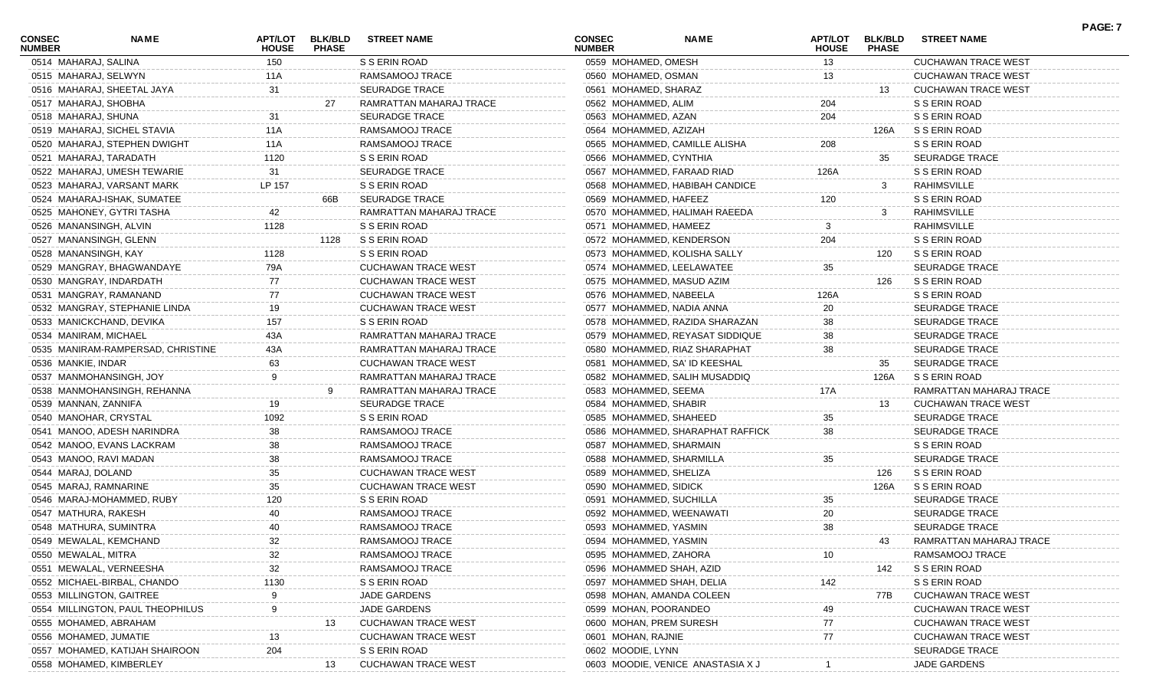| <b>CONSEC</b><br><b>NUMBER</b> | <b>NAME</b>                       | APT/LOT<br><b>HOUSE</b> | <b>BLK/BLD</b><br><b>PHASE</b> | <b>STREET NAME</b>         | <b>CONSEC</b><br><b>NUMBER</b> | <b>NAME</b>                       | APT/LOT<br><b>HOUSE</b> | <b>BLK/BLD</b><br><b>PHASE</b> | <b>STREET NAME</b>         | <b>PAGE: 7</b> |
|--------------------------------|-----------------------------------|-------------------------|--------------------------------|----------------------------|--------------------------------|-----------------------------------|-------------------------|--------------------------------|----------------------------|----------------|
|                                | 0514 MAHARAJ, SALINA              | 150                     |                                | S S ERIN ROAD              | 0559 MOHAMED, OMESH            |                                   | 13                      |                                | <b>CUCHAWAN TRACE WEST</b> |                |
|                                | 0515 MAHARAJ, SELWYN              | 11A                     |                                | RAMSAMOOJ TRACE            | 0560 MOHAMED, OSMAN            |                                   | 13                      |                                | <b>CUCHAWAN TRACE WEST</b> |                |
|                                | 0516 MAHARAJ, SHEETAL JAYA        | 31                      |                                | <b>SEURADGE TRACE</b>      | 0561 MOHAMED, SHARAZ           |                                   |                         | 13                             | <b>CUCHAWAN TRACE WEST</b> |                |
|                                | 0517 MAHARAJ, SHOBHA              |                         | 27                             | RAMRATTAN MAHARAJ TRACE    | 0562 MOHAMMED, ALIM            |                                   | 204                     |                                | S S ERIN ROAD              |                |
|                                | 0518 MAHARAJ, SHUNA               | -31                     |                                | SEURADGE TRACE             | 0563 MOHAMMED, AZAN            |                                   | 204                     |                                | S S ERIN ROAD              |                |
|                                | 0519 MAHARAJ, SICHEL STAVIA       | 11A                     |                                | RAMSAMOOJ TRACE            | 0564 MOHAMMED, AZIZAH          |                                   |                         | 126A                           | S S ERIN ROAD              |                |
|                                | 0520 MAHARAJ, STEPHEN DWIGHT      | 11A                     |                                | RAMSAMOOJ TRACE            |                                | 0565 MOHAMMED, CAMILLE ALISHA     | 208                     |                                | S S ERIN ROAD              |                |
|                                | 0521 MAHARAJ, TARADATH            | 1120                    |                                | S S ERIN ROAD              |                                | 0566 MOHAMMED, CYNTHIA            |                         | 35                             | <b>SEURADGE TRACE</b>      |                |
|                                | 0522 MAHARAJ, UMESH TEWARIE       | 31                      |                                | SEURADGE TRACE             |                                | 0567 MOHAMMED, FARAAD RIAD        | 126A                    |                                | S S ERIN ROAD              |                |
|                                | 0523 MAHARAJ, VARSANT MARK        | LP 157                  |                                | S S ERIN ROAD              |                                | 0568 MOHAMMED, HABIBAH CANDICE    |                         | 3                              | RAHIMSVILLE                |                |
|                                | 0524 MAHARAJ-ISHAK, SUMATEE       |                         | 66B                            | <b>SEURADGE TRACE</b>      | 0569 MOHAMMED, HAFEEZ          |                                   | 120                     |                                | S S ERIN ROAD              |                |
|                                | 0525 MAHONEY, GYTRI TASHA         | 42                      |                                | RAMRATTAN MAHARAJ TRACE    |                                | 0570 MOHAMMED, HALIMAH RAEEDA     |                         | 3                              | RAHIMSVILLE                |                |
|                                | 0526 MANANSINGH, ALVIN            | 1128                    |                                | S S ERIN ROAD              |                                | 0571 MOHAMMED, HAMEEZ             | 3                       |                                | RAHIMSVILLE                |                |
|                                | 0527 MANANSINGH, GLENN            |                         | 1128                           | S S ERIN ROAD              |                                | 0572 MOHAMMED, KENDERSON          | 204                     |                                | S S ERIN ROAD              |                |
|                                | 0528 MANANSINGH, KAY              | 1128                    |                                | S S ERIN ROAD              |                                | 0573 MOHAMMED, KOLISHA SALLY      |                         | 120                            | S S ERIN ROAD              |                |
|                                | 0529 MANGRAY, BHAGWANDAYE         | 79A                     |                                | <b>CUCHAWAN TRACE WEST</b> |                                | 0574 MOHAMMED, LEELAWATEE         | 35                      |                                | <b>SEURADGE TRACE</b>      |                |
|                                | 0530 MANGRAY, INDARDATH           | 77                      |                                | <b>CUCHAWAN TRACE WEST</b> |                                | 0575 MOHAMMED, MASUD AZIM         |                         | 126                            | S S ERIN ROAD              |                |
|                                | 0531 MANGRAY, RAMANAND            | 77                      |                                | <b>CUCHAWAN TRACE WEST</b> |                                | 0576 MOHAMMED, NABEELA            | 126A                    |                                | S S ERIN ROAD              |                |
|                                | 0532 MANGRAY, STEPHANIE LINDA     | 19                      |                                | <b>CUCHAWAN TRACE WEST</b> |                                | 0577 MOHAMMED, NADIA ANNA         | 20                      |                                | <b>SEURADGE TRACE</b>      |                |
|                                | 0533 MANICKCHAND, DEVIKA          | 157                     |                                | S S ERIN ROAD              |                                | 0578 MOHAMMED, RAZIDA SHARAZAN    | 38                      |                                | <b>SEURADGE TRACE</b>      |                |
|                                | 0534 MANIRAM, MICHAEL             | 43A                     |                                | RAMRATTAN MAHARAJ TRACE    |                                | 0579 MOHAMMED, REYASAT SIDDIQUE   | 38                      |                                | <b>SEURADGE TRACE</b>      |                |
|                                | 0535 MANIRAM-RAMPERSAD, CHRISTINE | 43A                     |                                | RAMRATTAN MAHARAJ TRACE    |                                | 0580 MOHAMMED, RIAZ SHARAPHAT     | 38                      |                                | <b>SEURADGE TRACE</b>      |                |
| 0536 MANKIE, INDAR             |                                   | 63                      |                                | <b>CUCHAWAN TRACE WEST</b> |                                | 0581 MOHAMMED, SA' ID KEESHAL     |                         | 35                             | <b>SEURADGE TRACE</b>      |                |
|                                | 0537 MANMOHANSINGH, JOY           |                         |                                | RAMRATTAN MAHARAJ TRACE    |                                | 0582 MOHAMMED, SALIH MUSADDIQ     |                         | 126A                           | S S ERIN ROAD              |                |
|                                | 0538 MANMOHANSINGH, REHANNA       |                         |                                | RAMRATTAN MAHARAJ TRACE    | 0583 MOHAMMED, SEEMA           |                                   | 17A                     |                                | RAMRATTAN MAHARAJ TRACE    |                |
|                                | 0539 MANNAN, ZANNIFA              | 19                      |                                | SEURADGE TRACE             | 0584 MOHAMMED, SHABIR          |                                   |                         | 13                             | <b>CUCHAWAN TRACE WEST</b> |                |
|                                | 0540 MANOHAR, CRYSTAL             | 1092                    |                                | S S ERIN ROAD              |                                | 0585 MOHAMMED, SHAHEED            | 35                      |                                | <b>SEURADGE TRACE</b>      |                |
|                                | 0541 MANOO, ADESH NARINDRA        | 38                      |                                | RAMSAMOOJ TRACE            |                                | 0586 MOHAMMED, SHARAPHAT RAFFICK  | 38                      |                                | <b>SEURADGE TRACE</b>      |                |
|                                | 0542 MANOO, EVANS LACKRAM         | 38                      |                                | RAMSAMOOJ TRACE            |                                | 0587 MOHAMMED, SHARMAIN           |                         |                                | S S ERIN ROAD              |                |
|                                | 0543 MANOO, RAVI MADAN            | 38                      |                                | RAMSAMOOJ TRACE            |                                | 0588 MOHAMMED, SHARMILLA          | 35                      |                                | <b>SEURADGE TRACE</b>      |                |
| 0544 MARAJ, DOLAND             |                                   | 35                      |                                | <b>CUCHAWAN TRACE WEST</b> | 0589 MOHAMMED, SHELIZA         |                                   |                         | 126                            | S S ERIN ROAD              |                |
|                                | 0545 MARAJ, RAMNARINE             | 35                      |                                | <b>CUCHAWAN TRACE WEST</b> | 0590 MOHAMMED, SIDICK          |                                   |                         | 126A                           | S S ERIN ROAD              |                |
|                                | 0546 MARAJ-MOHAMMED, RUBY         | 120                     |                                | S S ERIN ROAD              |                                | 0591 MOHAMMED, SUCHILLA           | 35                      |                                | <b>SEURADGE TRACE</b>      |                |
|                                | 0547 MATHURA, RAKESH              | 40                      |                                | RAMSAMOOJ TRACE            |                                | 0592 MOHAMMED, WEENAWATI          | 20                      |                                | <b>SEURADGE TRACE</b>      |                |
|                                | 0548 MATHURA, SUMINTRA            | 40                      |                                | RAMSAMOOJ TRACE            | 0593 MOHAMMED, YASMIN          |                                   | 38                      |                                | SEURADGE TRACE             |                |
|                                | 0549 MEWALAL, KEMCHAND            | 32                      |                                | RAMSAMOOJ TRACE            | 0594 MOHAMMED, YASMIN          |                                   |                         | 43                             | RAMRATTAN MAHARAJ TRACE    |                |
|                                | 0550 MEWALAL, MITRA               | 32                      |                                | RAMSAMOOJ TRACE            | 0595 MOHAMMED, ZAHORA          |                                   | 10                      |                                | RAMSAMOOJ TRACE            |                |
|                                | 0551 MEWALAL, VERNEESHA           | 32                      |                                | RAMSAMOOJ TRACE            |                                | 0596 MOHAMMED SHAH, AZID          |                         | 142                            | S S ERIN ROAD              |                |
|                                | 0552 MICHAEL-BIRBAL, CHANDO       | 1130                    |                                | S S ERIN ROAD              |                                | 0597 MOHAMMED SHAH, DELIA         | 142                     |                                | S S ERIN ROAD              |                |
|                                | 0553 MILLINGTON, GAITREE          |                         |                                | <b>JADE GARDENS</b>        |                                | 0598 MOHAN, AMANDA COLEEN         |                         | 77B                            | <b>CUCHAWAN TRACE WES</b>  |                |
|                                | 0554 MILLINGTON, PAUL THEOPHILUS  |                         |                                | <b>JADE GARDENS</b>        | 0599 MOHAN, POORANDEO          |                                   | 49                      |                                | <b>CUCHAWAN TRACE WEST</b> |                |
|                                | 0555 MOHAMED, ABRAHAM             |                         |                                | <b>CUCHAWAN TRACE WEST</b> |                                | 0600 MOHAN, PREM SURESH           | 77                      |                                | <b>CUCHAWAN TRACE WEST</b> |                |
|                                | 0556 MOHAMED, JUMATIE             | 13                      |                                | <b>CUCHAWAN TRACE WEST</b> | 0601 MOHAN, RAJNIE             |                                   | 77                      |                                | <b>CUCHAWAN TRACE WEST</b> |                |
|                                | 0557 MOHAMED, KATIJAH SHAIROON    | 204                     |                                | S S ERIN ROAD              | 0602 MOODIE, LYNN              |                                   |                         |                                | <b>SEURADGE TRACE</b>      |                |
|                                | 0558 MOHAMED, KIMBERLEY           |                         | 13                             | <b>CUCHAWAN TRACE WEST</b> |                                | 0603 MOODIE, VENICE ANASTASIA X J |                         |                                | <b>JADE GARDENS</b>        |                |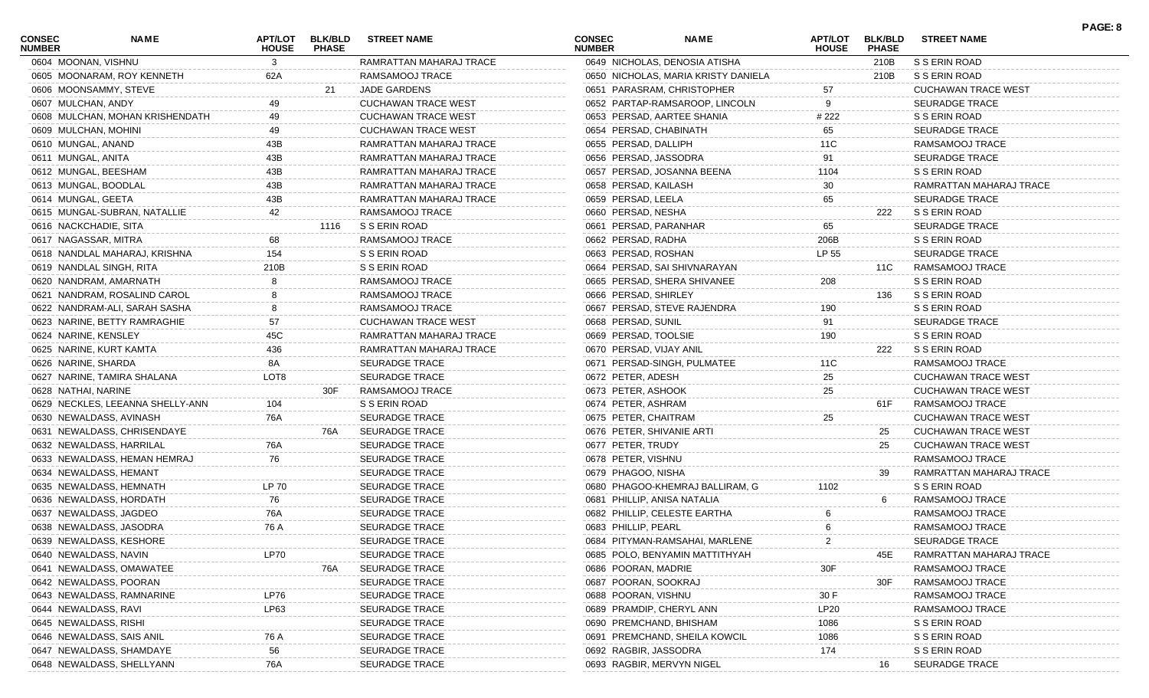| <b>CONSEC</b><br><b>NUMBER</b> | NAME                             | APT/LOT<br><b>HOUSE</b> | <b>BLK/BLD</b><br><b>PHASE</b> | <b>STREET NAME</b>         | <b>CONSEC</b><br><b>NUMBER</b> | NAME                                | APT/LOT<br><b>HOUSE</b> | <b>BLK/BLD</b><br><b>PHASE</b> | <b>STREET NAME</b>         | PAGE: 8 |
|--------------------------------|----------------------------------|-------------------------|--------------------------------|----------------------------|--------------------------------|-------------------------------------|-------------------------|--------------------------------|----------------------------|---------|
| 0604 MOONAN, VISHNU            |                                  | 3                       |                                | RAMRATTAN MAHARAJ TRACE    |                                | 0649 NICHOLAS, DENOSIA ATISHA       |                         | 210B                           | S S ERIN ROAD              |         |
|                                | 0605 MOONARAM, ROY KENNETH       | 62A                     |                                | RAMSAMOOJ TRACE            |                                | 0650 NICHOLAS, MARIA KRISTY DANIELA |                         | 210B                           | S S ERIN ROAD              |         |
|                                | 0606 MOONSAMMY, STEVE            |                         | 21                             | JADE GARDENS               |                                | 0651 PARASRAM, CHRISTOPHER          | 57                      |                                | <b>CUCHAWAN TRACE WEST</b> |         |
| 0607 MULCHAN, ANDY             |                                  | 49                      |                                | <b>CUCHAWAN TRACE WEST</b> |                                | 0652 PARTAP-RAMSAROOP, LINCOLN      | 9                       |                                | <b>SEURADGE TRACE</b>      |         |
|                                | 0608 MULCHAN, MOHAN KRISHENDATH  | 49                      |                                | <b>CUCHAWAN TRACE WEST</b> |                                | 0653 PERSAD, AARTEE SHANIA          | # 222                   |                                | S S ERIN ROAD              |         |
| 0609 MULCHAN, MOHINI           |                                  | 49                      |                                | <b>CUCHAWAN TRACE WEST</b> | 0654 PERSAD, CHABINATH         |                                     | 65                      |                                | <b>SEURADGE TRACE</b>      |         |
| 0610 MUNGAL, ANAND             |                                  | 43B                     |                                | RAMRATTAN MAHARAJ TRACE    | 0655 PERSAD, DALLIPH           |                                     | 11C                     |                                | RAMSAMOOJ TRACE            |         |
| 0611 MUNGAL, ANITA             |                                  | 43B                     |                                | RAMRATTAN MAHARAJ TRACE    | 0656 PERSAD, JASSODRA          |                                     | 91                      |                                | <b>SEURADGE TRACE</b>      |         |
| 0612 MUNGAL, BEESHAM           |                                  | 43B                     |                                | RAMRATTAN MAHARAJ TRACE    |                                | 0657 PERSAD, JOSANNA BEENA          | 1104                    |                                | S S ERIN ROAD              |         |
| 0613 MUNGAL, BOODLAL           |                                  | 43B                     |                                | RAMRATTAN MAHARAJ TRACE    | 0658 PERSAD, KAILASH           |                                     | 30                      |                                | RAMRATTAN MAHARAJ TRACE    |         |
| 0614 MUNGAL, GEETA             |                                  | 43B                     |                                | RAMRATTAN MAHARAJ TRACE    | 0659 PERSAD, LEELA             |                                     | 65                      |                                | <b>SEURADGE TRACE</b>      |         |
|                                | 0615 MUNGAL-SUBRAN, NATALLIE     | 42                      |                                | RAMSAMOOJ TRACE            | 0660 PERSAD, NESHA             |                                     |                         | 222                            | S S ERIN ROAD              |         |
| 0616 NACKCHADIE, SITA          |                                  |                         | 1116                           | S S ERIN ROAD              | 0661 PERSAD, PARANHAR          |                                     | 65                      |                                | <b>SEURADGE TRACE</b>      |         |
| 0617 NAGASSAR, MITRA           |                                  | 68                      |                                | RAMSAMOOJ TRACE            | 0662 PERSAD, RADHA             |                                     | 206B                    |                                | S S ERIN ROAD              |         |
|                                | 0618 NANDLAL MAHARAJ, KRISHNA    | 154                     |                                | S S ERIN ROAD              | 0663 PERSAD, ROSHAN            |                                     | LP 55                   |                                | <b>SEURADGE TRACE</b>      |         |
|                                | 0619 NANDLAL SINGH, RITA         | 210B                    |                                | S S ERIN ROAD              |                                | 0664 PERSAD, SAI SHIVNARAYAN        |                         | 11C                            | RAMSAMOOJ TRACE            |         |
|                                | 0620 NANDRAM, AMARNATH           |                         |                                | RAMSAMOOJ TRACE            |                                | 0665 PERSAD, SHERA SHIVANEE         | 208                     |                                | S S ERIN ROAD              |         |
|                                | 0621 NANDRAM, ROSALIND CAROL     |                         |                                | RAMSAMOOJ TRACE            | 0666 PERSAD, SHIRLEY           |                                     |                         | 136                            | S S ERIN ROAD              |         |
|                                | 0622 NANDRAM-ALI, SARAH SASHA    |                         |                                | RAMSAMOOJ TRACE            |                                | 0667 PERSAD, STEVE RAJENDRA         | 190                     |                                | S S ERIN ROAD              |         |
|                                | 0623 NARINE, BETTY RAMRAGHIE     | 57                      |                                | <b>CUCHAWAN TRACE WEST</b> | 0668 PERSAD, SUNIL             |                                     | 91                      |                                | <b>SEURADGE TRACE</b>      |         |
| 0624 NARINE, KENSLEY           |                                  | 45C                     |                                | RAMRATTAN MAHARAJ TRACE    | 0669 PERSAD, TOOLSIE           |                                     | 190                     |                                | S S ERIN ROAD              |         |
|                                | 0625 NARINE, KURT KAMTA          | 436                     |                                | RAMRATTAN MAHARAJ TRACE    | 0670 PERSAD, VIJAY ANIL        |                                     |                         | 222                            | S S ERIN ROAD              |         |
| 0626 NARINE, SHARDA            |                                  | 8A                      |                                | <b>SEURADGE TRACE</b>      |                                | 0671 PERSAD-SINGH, PULMATEE         | 11C                     |                                | RAMSAMOOJ TRACE            |         |
|                                | 0627 NARINE, TAMIRA SHALANA      | LOT <sub>8</sub>        |                                | <b>SEURADGE TRACE</b>      | 0672 PETER, ADESH              |                                     | 25                      |                                | <b>CUCHAWAN TRACE WEST</b> |         |
| 0628 NATHAI, NARINE            |                                  |                         | 30F                            | RAMSAMOOJ TRACE            | 0673 PETER, ASHOOK             |                                     | 25                      |                                | <b>CUCHAWAN TRACE WEST</b> |         |
|                                | 0629 NECKLES, LEEANNA SHELLY-ANN | 104                     |                                | S S ERIN ROAD              | 0674 PETER, ASHRAM             |                                     |                         | 61F                            | RAMSAMOOJ TRACE            |         |
|                                | 0630 NEWALDASS, AVINASH          | 76A                     |                                | <b>SEURADGE TRACE</b>      | 0675 PETER, CHAITRAM           |                                     | 25                      |                                | <b>CUCHAWAN TRACE WEST</b> |         |
|                                | 0631 NEWALDASS, CHRISENDAYE      |                         | 76A                            | <b>SEURADGE TRACE</b>      | 0676 PETER, SHIVANIE ARTI      |                                     |                         | 25                             | <b>CUCHAWAN TRACE WEST</b> |         |
|                                | 0632 NEWALDASS, HARRILAL         | 76A                     |                                | <b>SEURADGE TRACE</b>      | 0677 PETER, TRUDY              |                                     |                         | 25                             | <b>CUCHAWAN TRACE WEST</b> |         |
|                                | 0633 NEWALDASS, HEMAN HEMRAJ     | 76                      |                                | <b>SEURADGE TRACE</b>      | 0678 PETER, VISHNU             |                                     |                         |                                | RAMSAMOOJ TRACE            |         |
|                                | 0634 NEWALDASS, HEMANT           |                         |                                | <b>SEURADGE TRACE</b>      | 0679 PHAGOO, NISHA             |                                     |                         | 39                             | RAMRATTAN MAHARAJ TRACE    |         |
|                                | 0635 NEWALDASS, HEMNATH          | <b>LP 70</b>            |                                | <b>SEURADGE TRACE</b>      |                                | 0680 PHAGOO-KHEMRAJ BALLIRAM, G     | 1102                    |                                | S S ERIN ROAD              |         |
|                                | 0636 NEWALDASS, HORDATH          | 76                      |                                | <b>SEURADGE TRACE</b>      | 0681 PHILLIP, ANISA NATALIA    |                                     |                         | 6                              | RAMSAMOOJ TRACE            |         |
|                                | 0637 NEWALDASS, JAGDEO           | 76A                     |                                | <b>SEURADGE TRACE</b>      |                                | 0682 PHILLIP, CELESTE EARTHA        |                         |                                | RAMSAMOOJ TRACE            |         |
|                                | 0638 NEWALDASS, JASODRA          | 76 A                    |                                | <b>SEURADGE TRACE</b>      | 0683 PHILLIP, PEARL            |                                     | 6                       |                                | RAMSAMOOJ TRACE            |         |
|                                | 0639 NEWALDASS, KESHORE          |                         |                                | SEURADGE TRACE             |                                | 0684 PITYMAN-RAMSAHAI, MARLENE      | $\overline{2}$          |                                | SEURADGE TRACE             |         |
|                                | 0640 NEWALDASS, NAVIN            | LP70                    |                                | <b>SEURADGE TRACE</b>      |                                | 0685 POLO, BENYAMIN MATTITHYAH      |                         | 45E                            | RAMRATTAN MAHARAJ TRACE    |         |
|                                | 0641 NEWALDASS, OMAWATEE         |                         | 76A                            | <b>SEURADGE TRACE</b>      | 0686 POORAN, MADRIE            |                                     | 30F                     |                                | RAMSAMOOJ TRACE            |         |
|                                | 0642 NEWALDASS, POORAN           |                         |                                | SEURADGE TRACE             | 0687 POORAN, SOOKRAJ           |                                     |                         | 30F                            | RAMSAMOOJ TRACE            |         |
|                                | 0643 NEWALDASS, RAMNARINE        | LP76                    |                                | SEURADGE TRACE             | 0688 POORAN, VISHNU            |                                     | 30 F                    |                                | RAMSAMOOJ TRACE            |         |
| 0644 NEWALDASS, RAVI           |                                  | LP63                    |                                | SEURADGE TRACE             | 0689 PRAMDIP, CHERYL ANN       |                                     | LP20                    |                                | RAMSAMOOJ TRACE            |         |
| 0645 NEWALDASS, RISHI          |                                  |                         |                                | <b>SEURADGE TRACE</b>      | 0690 PREMCHAND, BHISHAM        |                                     | 1086                    |                                | S S ERIN ROAD              |         |
|                                | 0646 NEWALDASS, SAIS ANIL        | 76 A                    |                                | SEURADGE TRACE             |                                | 0691 PREMCHAND, SHEILA KOWCIL       |                         |                                | S S ERIN ROAD              |         |
|                                | 0647 NEWALDASS, SHAMDAYE         | 56                      |                                | SEURADGE TRACE             | 0692 RAGBIR, JASSODRA          |                                     | 1086<br>174             |                                | S S ERIN ROAD              |         |
|                                | 0648 NEWALDASS, SHELLYANN        | 76A                     |                                | SEURADGE TRACE             | 0693 RAGBIR, MERVYN NIGEL      |                                     |                         | 16                             | SEURADGE TRACE             |         |
|                                |                                  |                         |                                |                            |                                |                                     |                         |                                |                            |         |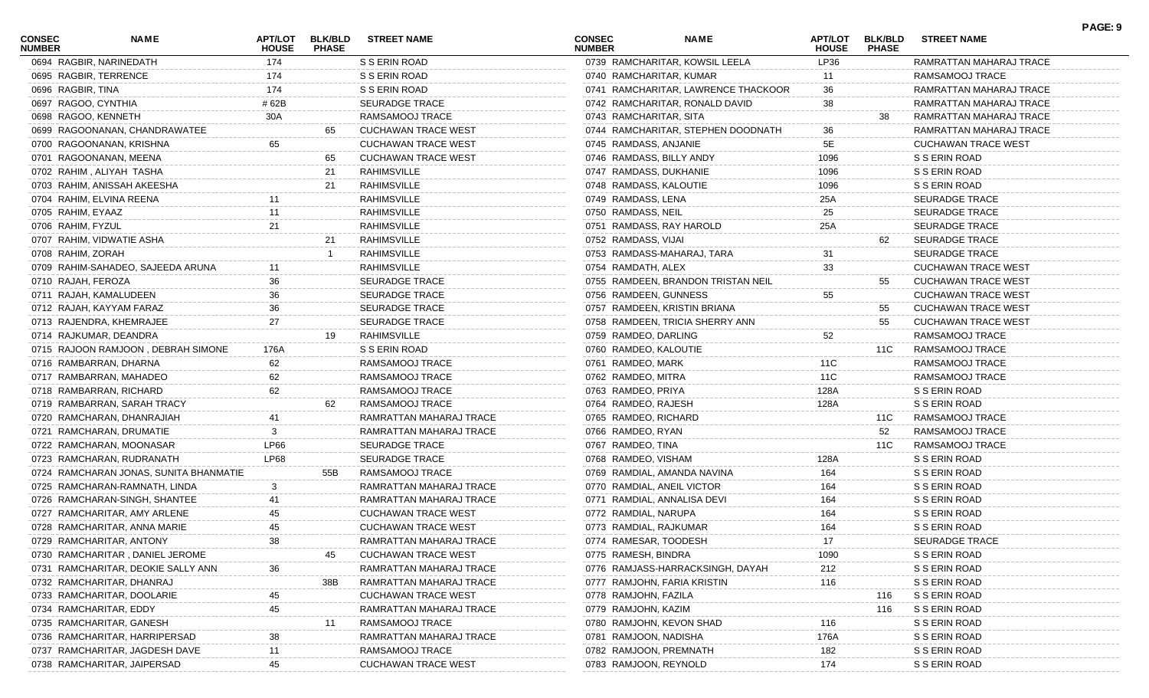| <b>CONSEC</b><br><b>NUMBER</b> | NAME                                   | <b>APT/LOT</b><br><b>HOUSE</b> | <b>BLK/BLD</b><br><b>PHASE</b> | <b>STREET NAME</b>         | <b>CONSEC</b><br><b>NUMBER</b> | <b>NAME</b>                         | APT/LOT<br><b>HOUSE</b> | <b>BLK/BLD</b><br><b>PHASE</b> | <b>STREET NAME</b>         | PAGE: 9 |
|--------------------------------|----------------------------------------|--------------------------------|--------------------------------|----------------------------|--------------------------------|-------------------------------------|-------------------------|--------------------------------|----------------------------|---------|
|                                | 0694 RAGBIR, NARINEDATH                | 174                            |                                | S S ERIN ROAD              |                                | 0739 RAMCHARITAR, KOWSIL LEELA      | LP36                    |                                | RAMRATTAN MAHARAJ TRACE    |         |
|                                | 0695 RAGBIR, TERRENCE                  | 174                            |                                | S S ERIN ROAD              | 0740 RAMCHARITAR, KUMAR        |                                     | 11                      |                                | RAMSAMOOJ TRACE            |         |
| 0696 RAGBIR, TINA              |                                        | 174                            |                                | S S ERIN ROAD              |                                | 0741 RAMCHARITAR, LAWRENCE THACKOOR | 36                      |                                | RAMRATTAN MAHARAJ TRACE    |         |
| 0697 RAGOO, CYNTHIA            |                                        | # 62B                          |                                | <b>SEURADGE TRACE</b>      |                                | 0742 RAMCHARITAR, RONALD DAVID      | 38                      |                                | RAMRATTAN MAHARAJ TRACE    |         |
|                                | 0698 RAGOO, KENNETH                    | 30A                            |                                | RAMSAMOOJ TRACE            | 0743 RAMCHARITAR, SITA         |                                     |                         | 38                             | RAMRATTAN MAHARAJ TRACE    |         |
|                                | 0699 RAGOONANAN, CHANDRAWATEE          |                                | 65                             | <b>CUCHAWAN TRACE WEST</b> |                                | 0744 RAMCHARITAR, STEPHEN DOODNATH  | 36                      |                                | RAMRATTAN MAHARAJ TRACE    |         |
|                                | 0700 RAGOONANAN, KRISHNA               | 65                             |                                | <b>CUCHAWAN TRACE WEST</b> | 0745 RAMDASS, ANJANIE          |                                     | 5E                      |                                | <b>CUCHAWAN TRACE WEST</b> |         |
|                                | 0701 RAGOONANAN, MEENA                 |                                | 65                             | <b>CUCHAWAN TRACE WEST</b> | 0746 RAMDASS, BILLY ANDY       |                                     | 1096                    |                                | S S ERIN ROAD              |         |
|                                | 0702 RAHIM, ALIYAH TASHA               |                                | 21                             | RAHIMSVILLE                | 0747 RAMDASS, DUKHANIE         |                                     | 1096                    |                                | S S ERIN ROAD              |         |
|                                | 0703 RAHIM, ANISSAH AKEESHA            |                                | 21                             | RAHIMSVILLE                | 0748 RAMDASS, KALOUTIE         |                                     | 1096                    |                                | S S ERIN ROAD              |         |
|                                | 0704 RAHIM, ELVINA REENA               |                                |                                | RAHIMSVILLE                | 0749 RAMDASS, LENA             |                                     | 25A                     |                                | <b>SEURADGE TRACE</b>      |         |
| 0705 RAHIM, EYAAZ              |                                        |                                |                                | RAHIMSVILLE                | 0750 RAMDASS, NEIL             |                                     | 25                      |                                | <b>SEURADGE TRACE</b>      |         |
| 0706 RAHIM, FYZUL              |                                        | 21                             |                                | RAHIMSVILLE                | 0751 RAMDASS, RAY HAROLD       |                                     | 25A                     |                                | <b>SEURADGE TRACE</b>      |         |
|                                | 0707 RAHIM, VIDWATIE ASHA              |                                | 21                             | RAHIMSVILLE                | 0752 RAMDASS, VIJAI            |                                     |                         | 62                             | <b>SEURADGE TRACE</b>      |         |
| 0708 RAHIM, ZORAH              |                                        |                                |                                | RAHIMSVILLE                |                                | 0753 RAMDASS-MAHARAJ, TARA          | 31                      |                                | <b>SEURADGE TRACE</b>      |         |
|                                | 0709 RAHIM-SAHADEO, SAJEEDA ARUNA      |                                |                                | RAHIMSVILLE                | 0754 RAMDATH, ALEX             |                                     | 33                      |                                | <b>CUCHAWAN TRACE WEST</b> |         |
| 0710 RAJAH, FEROZA             |                                        | 36                             |                                | <b>SEURADGE TRACE</b>      |                                | 0755 RAMDEEN, BRANDON TRISTAN NEIL  |                         | 55                             | <b>CUCHAWAN TRACE WEST</b> |         |
|                                | 0711 RAJAH, KAMALUDEEN                 | 36                             |                                | <b>SEURADGE TRACE</b>      | 0756 RAMDEEN, GUNNESS          |                                     | 55                      |                                | <b>CUCHAWAN TRACE WEST</b> |         |
|                                | 0712 RAJAH, KAYYAM FARAZ               | 36                             |                                | <b>SEURADGE TRACE</b>      |                                | 0757 RAMDEEN, KRISTIN BRIANA        |                         | 55                             | <b>CUCHAWAN TRACE WEST</b> |         |
|                                | 0713 RAJENDRA, KHEMRAJEE               | 27                             |                                | <b>SEURADGE TRACE</b>      |                                | 0758 RAMDEEN, TRICIA SHERRY ANN     |                         | 55                             | <b>CUCHAWAN TRACE WEST</b> |         |
|                                | 0714 RAJKUMAR, DEANDRA                 |                                | 19                             | RAHIMSVILLE                | 0759 RAMDEO, DARLING           |                                     | 52                      |                                | RAMSAMOOJ TRACE            |         |
|                                | 0715 RAJOON RAMJOON, DEBRAH SIMONE     | 176A                           |                                | S S ERIN ROAD              | 0760 RAMDEO, KALOUTIE          |                                     |                         | 11C                            | RAMSAMOOJ TRACE            |         |
|                                | 0716 RAMBARRAN, DHARNA                 | 62                             |                                | RAMSAMOOJ TRACE            | 0761 RAMDEO, MARK              |                                     | 11C                     |                                | RAMSAMOOJ TRACE            |         |
|                                | 0717 RAMBARRAN, MAHADEO                | 62                             |                                | RAMSAMOOJ TRACE            | 0762 RAMDEO, MITRA             |                                     | 11C                     |                                | RAMSAMOOJ TRACE            |         |
|                                | 0718 RAMBARRAN, RICHARD                | 62                             |                                | RAMSAMOOJ TRACE            | 0763 RAMDEO, PRIYA             |                                     | 128A                    |                                | S S ERIN ROAD              |         |
|                                |                                        |                                | 62                             | RAMSAMOOJ TRACE            |                                |                                     |                         |                                |                            |         |
|                                | 0719 RAMBARRAN, SARAH TRACY            |                                |                                |                            | 0764 RAMDEO, RAJESH            |                                     | 128A                    |                                | S S ERIN ROAD              |         |
|                                | 0720 RAMCHARAN, DHANRAJIAH             |                                |                                | RAMRATTAN MAHARAJ TRACE    | 0765 RAMDEO, RICHARD           |                                     |                         | 11C                            | RAMSAMOOJ TRACE            |         |
|                                | 0721 RAMCHARAN, DRUMATIE               |                                |                                | RAMRATTAN MAHARAJ TRACE    | 0766 RAMDEO, RYAN              |                                     |                         | 52                             | RAMSAMOOJ TRACE            |         |
|                                | 0722 RAMCHARAN, MOONASAR               | LP66                           |                                | <b>SEURADGE TRACE</b>      | 0767 RAMDEO, TINA              |                                     |                         | 11C                            | RAMSAMOOJ TRACE            |         |
|                                | 0723 RAMCHARAN, RUDRANATH              | LP68                           |                                | <b>SEURADGE TRACE</b>      | 0768 RAMDEO, VISHAM            |                                     | 128A                    |                                | S S ERIN ROAD              |         |
|                                | 0724 RAMCHARAN JONAS, SUNITA BHANMATIE |                                | 55B                            | RAMSAMOOJ TRACE            |                                | 0769 RAMDIAL, AMANDA NAVINA         | 164                     |                                | S S ERIN ROAD              |         |
|                                | 0725 RAMCHARAN-RAMNATH, LINDA          |                                |                                | RAMRATTAN MAHARAJ TRACE    | 0770 RAMDIAL, ANEIL VICTOR     |                                     | 164                     |                                | S S ERIN ROAD              |         |
|                                | 0726 RAMCHARAN-SINGH, SHANTEE          | 41                             |                                | RAMRATTAN MAHARAJ TRACE    | 0771 RAMDIAL, ANNALISA DEVI    |                                     | 164                     |                                | S S ERIN ROAD              |         |
|                                | 0727 RAMCHARITAR, AMY ARLENE           | 45                             |                                | <b>CUCHAWAN TRACE WEST</b> | 0772 RAMDIAL, NARUPA           |                                     | 164                     |                                | S S ERIN ROAD              |         |
|                                | 0728 RAMCHARITAR, ANNA MARIE           | 45                             |                                | <b>CUCHAWAN TRACE WEST</b> | 0773 RAMDIAL, RAJKUMAR         |                                     | 164                     |                                | S S ERIN ROAD              |         |
|                                | 0729 RAMCHARITAR, ANTONY               | 38                             |                                | RAMRATTAN MAHARAJ TRACE    | 0774 RAMESAR, TOODESH          |                                     | 17                      |                                | <b>SEURADGE TRACE</b>      |         |
|                                | 0730 RAMCHARITAR, DANIEL JEROME        |                                | 45                             | <b>CUCHAWAN TRACE WEST</b> | 0775 RAMESH, BINDRA            |                                     | 1090                    |                                | S S ERIN ROAD              |         |
|                                | 0731 RAMCHARITAR, DEOKIE SALLY ANN     | 36                             |                                | RAMRATTAN MAHARAJ TRACE    |                                | 0776 RAMJASS-HARRACKSINGH, DAYAH    | 212                     |                                | S S ERIN ROAD              |         |
|                                | 0732 RAMCHARITAR, DHANRAJ              |                                | 38B                            | RAMRATTAN MAHARAJ TRACE    | 0777 RAMJOHN, FARIA KRISTIN    |                                     | 116                     |                                | S S ERIN ROAD              |         |
|                                | 0733 RAMCHARITAR, DOOLARIE             | 45                             |                                | <b>CUCHAWAN TRACE WEST</b> | 0778 RAMJOHN, FAZILA           |                                     |                         | 116                            | S S ERIN ROAD              |         |
|                                | 0734 RAMCHARITAR, EDDY                 | 45                             |                                | RAMRATTAN MAHARAJ TRACE    | 0779 RAMJOHN, KAZIM            |                                     |                         | 116                            | S S ERIN ROAD              |         |
|                                | 0735 RAMCHARITAR, GANESH               |                                | 11                             | RAMSAMOOJ TRACE            | 0780 RAMJOHN, KEVON SHAD       |                                     | 116                     |                                | S S ERIN ROAD              |         |
|                                | 0736 RAMCHARITAR, HARRIPERSAD          |                                |                                | RAMRATTAN MAHARAJ TRACE    | 0781 RAMJOON, NADISHA          |                                     | 176A                    |                                | S S ERIN ROAD              |         |
|                                | 0737 RAMCHARITAR, JAGDESH DAVE         | 11                             |                                | RAMSAMOOJ TRACE            | 0782 RAMJOON, PREMNATH         |                                     | 182                     |                                | S S ERIN ROAD              |         |
|                                | 0738 RAMCHARITAR, JAIPERSAD            | 45                             |                                | <b>CUCHAWAN TRACE WEST</b> | 0783 RAMJOON, REYNOLD          |                                     | 174                     |                                | S S ERIN ROAD              |         |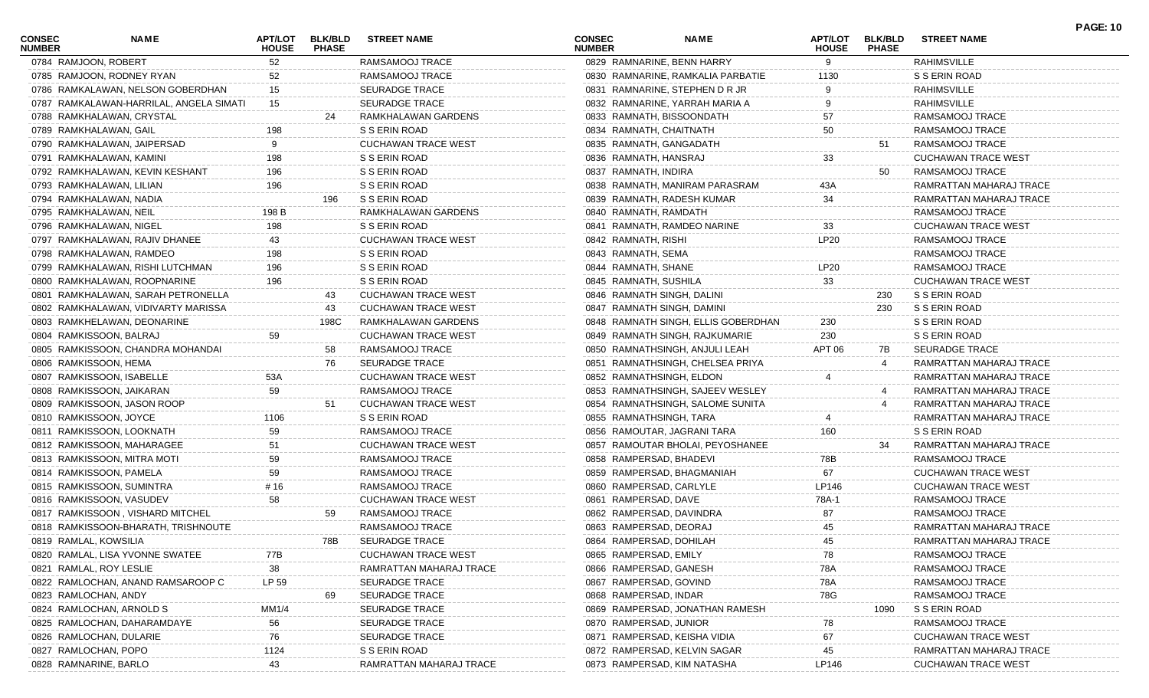| CONSEC<br><b>NUMBER</b> | NAME                                    | APT/LOT<br><b>HOUSE</b> | <b>BLK/BLD</b><br><b>PHASE</b> | <b>STREET NAME</b>         | <b>CONSEC</b><br><b>NUMBER</b> | NAME                                | APT/LOT<br><b>HOUSE</b> | <b>BLK/BLD</b><br><b>PHASE</b> | <b>STREET NAME</b>         | <b>PAGE: 10</b> |
|-------------------------|-----------------------------------------|-------------------------|--------------------------------|----------------------------|--------------------------------|-------------------------------------|-------------------------|--------------------------------|----------------------------|-----------------|
|                         | 0784 RAMJOON, ROBERT                    | 52                      |                                | RAMSAMOOJ TRACE            | 0829 RAMNARINE, BENN HARRY     |                                     | 9                       |                                | <b>RAHIMSVILLE</b>         |                 |
|                         | 0785 RAMJOON, RODNEY RYAN               | 52                      |                                | RAMSAMOOJ TRACE            |                                | 0830 RAMNARINE, RAMKALIA PARBATIE   | 1130                    |                                | S S ERIN ROAD              |                 |
|                         | 0786 RAMKALAWAN, NELSON GOBERDHAN       | 15                      |                                | <b>SEURADGE TRACE</b>      |                                | 0831 RAMNARINE, STEPHEN D R JR      |                         |                                | <b>RAHIMSVILLE</b>         |                 |
|                         | 0787 RAMKALAWAN-HARRILAL, ANGELA SIMATI | 15                      |                                | <b>SEURADGE TRACE</b>      |                                | 0832 RAMNARINE, YARRAH MARIA A      |                         |                                | <b>RAHIMSVILLE</b>         |                 |
|                         | 0788 RAMKHALAWAN, CRYSTAL               |                         | 24                             | RAMKHALAWAN GARDENS        | 0833 RAMNATH, BISSOONDATH      |                                     | 57                      |                                | RAMSAMOOJ TRACE            |                 |
|                         | 0789 RAMKHALAWAN, GAIL                  | 198                     |                                | S S ERIN ROAD              | 0834 RAMNATH, CHAITNATH        |                                     | 50                      |                                | RAMSAMOOJ TRACE            |                 |
|                         | 0790 RAMKHALAWAN, JAIPERSAD             |                         |                                | <b>CUCHAWAN TRACE WEST</b> | 0835 RAMNATH, GANGADATH        |                                     |                         | 51                             | RAMSAMOOJ TRACE            |                 |
|                         | 0791 RAMKHALAWAN, KAMINI                | 198                     |                                | S S ERIN ROAD              | 0836 RAMNATH, HANSRAJ          |                                     | 33                      |                                | <b>CUCHAWAN TRACE WEST</b> |                 |
|                         | 0792 RAMKHALAWAN, KEVIN KESHANT         | 196                     |                                | S S ERIN ROAD              | 0837 RAMNATH, INDIRA           |                                     |                         | 50                             | RAMSAMOOJ TRACE            |                 |
|                         | 0793 RAMKHALAWAN, LILIAN                | 196                     |                                | S S ERIN ROAD              |                                | 0838 RAMNATH, MANIRAM PARASRAM      | 43A                     |                                | RAMRATTAN MAHARAJ TRACE    |                 |
|                         | 0794 RAMKHALAWAN, NADIA                 |                         | 196                            | S S ERIN ROAD              | 0839 RAMNATH, RADESH KUMAR     |                                     | 34                      |                                | RAMRATTAN MAHARAJ TRACE    |                 |
|                         | 0795 RAMKHALAWAN, NEIL                  | 198 B                   |                                | RAMKHALAWAN GARDENS        | 0840 RAMNATH, RAMDATH          |                                     |                         |                                | RAMSAMOOJ TRACE            |                 |
|                         | 0796 RAMKHALAWAN, NIGEL                 | 198                     |                                | S S ERIN ROAD              |                                | 0841 RAMNATH, RAMDEO NARINE         | 33                      |                                | <b>CUCHAWAN TRACE WEST</b> |                 |
|                         | 0797 RAMKHALAWAN, RAJIV DHANEE          | 43                      |                                | <b>CUCHAWAN TRACE WEST</b> | 0842 RAMNATH, RISHI            |                                     | <b>LP20</b>             |                                | RAMSAMOOJ TRACE            |                 |
|                         | 0798 RAMKHALAWAN, RAMDEO                | 198                     |                                | S S ERIN ROAD              | 0843 RAMNATH, SEMA             |                                     |                         |                                | RAMSAMOOJ TRACE            |                 |
|                         | 0799 RAMKHALAWAN, RISHI LUTCHMAN        | 196                     |                                | S S ERIN ROAD              | 0844 RAMNATH, SHANE            |                                     | <b>LP20</b>             |                                | RAMSAMOOJ TRACE            |                 |
|                         | 0800 RAMKHALAWAN, ROOPNARINE            | 196                     |                                | S S ERIN ROAD              | 0845 RAMNATH, SUSHILA          |                                     | 33                      |                                | <b>CUCHAWAN TRACE WEST</b> |                 |
|                         | 0801 RAMKHALAWAN, SARAH PETRONELLA      |                         | 43                             | <b>CUCHAWAN TRACE WEST</b> | 0846 RAMNATH SINGH, DALINI     |                                     |                         | 230                            | S S ERIN ROAD              |                 |
|                         | 0802 RAMKHALAWAN, VIDIVARTY MARISSA     |                         | 43                             | <b>CUCHAWAN TRACE WEST</b> | 0847 RAMNATH SINGH, DAMINI     |                                     |                         | 230                            | S S ERIN ROAD              |                 |
|                         | 0803 RAMKHELAWAN, DEONARINE             |                         | 198C                           | RAMKHALAWAN GARDENS        |                                | 0848 RAMNATH SINGH, ELLIS GOBERDHAN | 230                     |                                | S S ERIN ROAD              |                 |
|                         | 0804 RAMKISSOON, BALRAJ                 | 59                      |                                | CUCHAWAN TRACE WEST        |                                | 0849 RAMNATH SINGH, RAJKUMARIE      | 230                     |                                | S S ERIN ROAD              |                 |
|                         | 0805 RAMKISSOON, CHANDRA MOHANDAI       |                         |                                | RAMSAMOOJ TRACE            |                                | 0850 RAMNATHSINGH, ANJULI LEAH      | APT 06                  | 7B                             | <b>SEURADGE TRACE</b>      |                 |
|                         |                                         |                         | 58<br>76                       | <b>SEURADGE TRACE</b>      |                                |                                     |                         |                                |                            |                 |
|                         | 0806 RAMKISSOON, HEMA                   |                         |                                |                            |                                | 0851 RAMNATHSINGH, CHELSEA PRIYA    |                         |                                | RAMRATTAN MAHARAJ TRACE    |                 |
|                         | 0807 RAMKISSOON, ISABELLE               | 53A                     |                                | <b>CUCHAWAN TRACE WEST</b> | 0852 RAMNATHSINGH, ELDON       |                                     |                         |                                | RAMRATTAN MAHARAJ TRACE    |                 |
|                         | 0808 RAMKISSOON, JAIKARAN               | 59                      |                                | RAMSAMOOJ TRACE            |                                | 0853 RAMNATHSINGH, SAJEEV WESLEY    |                         |                                | RAMRATTAN MAHARAJ TRACE    |                 |
|                         | 0809 RAMKISSOON, JASON ROOP             |                         | 51                             | <b>CUCHAWAN TRACE WEST</b> |                                | 0854 RAMNATHSINGH, SALOME SUNITA    |                         |                                | RAMRATTAN MAHARAJ TRACE    |                 |
|                         | 0810 RAMKISSOON, JOYCE                  | 1106                    |                                | S S ERIN ROAD              | 0855 RAMNATHSINGH, TARA        |                                     |                         |                                | RAMRATTAN MAHARAJ TRACE    |                 |
|                         | 0811 RAMKISSOON, LOOKNATH               | 59                      |                                | RAMSAMOOJ TRACE            | 0856 RAMOUTAR, JAGRANI TARA    |                                     | 160                     |                                | S S ERIN ROAD              |                 |
|                         | 0812 RAMKISSOON, MAHARAGEE              | 51                      |                                | CUCHAWAN TRACE WEST        |                                | 0857 RAMOUTAR BHOLAI, PEYOSHANEE    |                         | 34                             | RAMRATTAN MAHARAJ TRACE    |                 |
|                         | 0813 RAMKISSOON, MITRA MOTI             | 59                      |                                | RAMSAMOOJ TRACE            | 0858 RAMPERSAD, BHADEVI        |                                     | 78B                     |                                | RAMSAMOOJ TRACE            |                 |
|                         | 0814 RAMKISSOON, PAMELA                 | 59                      |                                | RAMSAMOOJ TRACE            | 0859 RAMPERSAD, BHAGMANIAH     |                                     | 67                      |                                | <b>CUCHAWAN TRACE WEST</b> |                 |
|                         | 0815 RAMKISSOON, SUMINTRA               | # 16                    |                                | RAMSAMOOJ TRACE            | 0860 RAMPERSAD, CARLYLE        |                                     | LP146                   |                                | CUCHAWAN TRACE WEST        |                 |
|                         | 0816 RAMKISSOON, VASUDEV                | 58                      |                                | <b>CUCHAWAN TRACE WEST</b> | 0861 RAMPERSAD, DAVE           |                                     | 78A-1                   |                                | RAMSAMOOJ TRACE            |                 |
|                         | 0817 RAMKISSOON, VISHARD MITCHEL        |                         | 59                             | RAMSAMOOJ TRACE            | 0862 RAMPERSAD, DAVINDRA       |                                     | 87                      |                                | RAMSAMOOJ TRACE            |                 |
|                         | 0818 RAMKISSOON-BHARATH, TRISHNOUTE     |                         |                                | RAMSAMOOJ TRACE            | 0863 RAMPERSAD, DEORAJ         |                                     | 45                      |                                | RAMRATTAN MAHARAJ TRACE    |                 |
|                         | 0819 RAMLAL, KOWSILIA                   |                         | 78B                            | SEURADGE TRACE             | 0864 RAMPERSAD, DOHILAH        |                                     | 45                      |                                | RAMRATTAN MAHARAJ TRACE    |                 |
|                         | 0820 RAMLAL, LISA YVONNE SWATEE         | 77B                     |                                | <b>CUCHAWAN TRACE WEST</b> | 0865 RAMPERSAD, EMILY          |                                     | 78                      |                                | RAMSAMOOJ TRACE            |                 |
|                         | 0821 RAMLAL, ROY LESLIE                 | 38                      |                                | RAMRATTAN MAHARAJ TRACE    | 0866 RAMPERSAD, GANESH         |                                     | 78A                     |                                | RAMSAMOOJ TRACE            |                 |
|                         | 0822 RAMLOCHAN, ANAND RAMSAROOP C       | LP 59                   |                                | SEURADGE TRACE             | 0867 RAMPERSAD, GOVIND         |                                     | 78A                     |                                | RAMSAMOOJ TRACE            |                 |
|                         | 0823 RAMLOCHAN, ANDY                    |                         | 69                             | SEURADGE TRACE             | 0868 RAMPERSAD, INDAR          |                                     | 78G                     |                                | RAMSAMOOJ TRACE            |                 |
|                         | 0824 RAMLOCHAN, ARNOLD S                | MM1/4                   |                                | <b>SEURADGE TRACE</b>      |                                | 0869 RAMPERSAD, JONATHAN RAMESH     |                         | 1090                           | S S ERIN ROAD              |                 |
|                         | 0825 RAMLOCHAN, DAHARAMDAYE             | 56                      |                                | <b>SEURADGE TRACE</b>      | 0870 RAMPERSAD, JUNIOR         |                                     | 78                      |                                | RAMSAMOOJ TRACE            |                 |
|                         | 0826 RAMLOCHAN, DULARIE                 | 76                      |                                | <b>SEURADGE TRACE</b>      | 0871 RAMPERSAD, KEISHA VIDIA   |                                     | 67                      |                                | <b>CUCHAWAN TRACE WEST</b> |                 |
|                         | 0827 RAMLOCHAN, POPO                    | 1124                    |                                | S S ERIN ROAD              |                                | 0872 RAMPERSAD, KELVIN SAGAR        | 45                      |                                | RAMRATTAN MAHARAJ TRACE    |                 |
|                         | 0828 RAMNARINE, BARLO                   | 43                      |                                | RAMRATTAN MAHARAJ TRACE    | 0873 RAMPERSAD, KIM NATASHA    |                                     | LP146                   |                                | <b>CUCHAWAN TRACE WEST</b> |                 |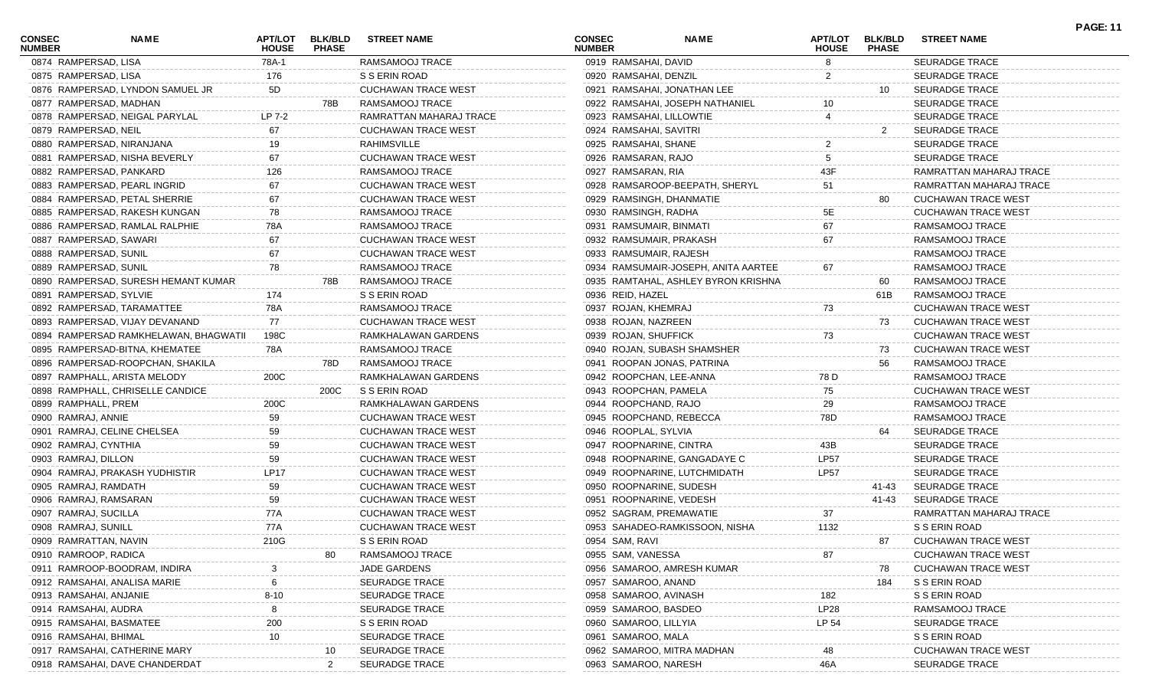| <b>CONSEC</b><br><b>NUMBER</b> | NAME                                  | APT/LOT<br><b>HOUSE</b> | <b>BLK/BLD</b><br><b>PHASE</b> | <b>STREET NAME</b>         | <b>CONSEC</b><br><b>NUMBER</b> | <b>NAME</b>                         | APT/LOT<br><b>HOUSE</b> | <b>BLK/BLD</b><br><b>PHASE</b> | <b>STREET NAME</b>         | <b>PAGE: 11</b> |
|--------------------------------|---------------------------------------|-------------------------|--------------------------------|----------------------------|--------------------------------|-------------------------------------|-------------------------|--------------------------------|----------------------------|-----------------|
| 0874 RAMPERSAD, LISA           |                                       | 78A-1                   |                                | RAMSAMOOJ TRACE            | 0919 RAMSAHAI, DAVID           |                                     | 8                       |                                | <b>SEURADGE TRACE</b>      |                 |
| 0875 RAMPERSAD, LISA           |                                       | 176                     |                                | S S ERIN ROAD              | 0920 RAMSAHAI, DENZIL          |                                     | $\overline{2}$          |                                | <b>SEURADGE TRACE</b>      |                 |
|                                | 0876 RAMPERSAD, LYNDON SAMUEL JR      | 5D                      |                                | <b>CUCHAWAN TRACE WEST</b> |                                | 0921 RAMSAHAI, JONATHAN LEE         |                         | 10                             | <b>SEURADGE TRACE</b>      |                 |
|                                | 0877 RAMPERSAD, MADHAN                |                         | 78B                            | RAMSAMOOJ TRACE            |                                | 0922 RAMSAHAI, JOSEPH NATHANIEL     |                         |                                | <b>SEURADGE TRACE</b>      |                 |
|                                | 0878 RAMPERSAD, NEIGAL PARYLAL        | LP 7-2                  |                                | RAMRATTAN MAHARAJ TRACE    | 0923 RAMSAHAI, LILLOWTIE       |                                     |                         |                                | <b>SEURADGE TRACE</b>      |                 |
| 0879 RAMPERSAD, NEIL           |                                       | 67                      |                                | <b>CUCHAWAN TRACE WEST</b> | 0924 RAMSAHAI, SAVITRI         |                                     |                         | 2                              | <b>SEURADGE TRACE</b>      |                 |
|                                | 0880 RAMPERSAD, NIRANJANA             | 19                      |                                | RAHIMSVILLE                | 0925 RAMSAHAI, SHANE           |                                     |                         |                                | <b>SEURADGE TRACE</b>      |                 |
|                                | 0881 RAMPERSAD, NISHA BEVERLY         | 67                      |                                | <b>CUCHAWAN TRACE WEST</b> | 0926 RAMSARAN, RAJO            |                                     |                         |                                | <b>SEURADGE TRACE</b>      |                 |
|                                | 0882 RAMPERSAD, PANKARD               | 126                     |                                | RAMSAMOOJ TRACE            | 0927 RAMSARAN, RIA             |                                     | 43F                     |                                | RAMRATTAN MAHARAJ TRACE    |                 |
|                                | 0883 RAMPERSAD, PEARL INGRID          | 67                      |                                | CUCHAWAN TRACE WEST        |                                | 0928 RAMSAROOP-BEEPATH, SHERYL      | 51                      |                                | RAMRATTAN MAHARAJ TRACE    |                 |
|                                | 0884 RAMPERSAD, PETAL SHERRIE         | 67                      |                                | <b>CUCHAWAN TRACE WEST</b> | 0929 RAMSINGH, DHANMATIE       |                                     |                         | 80.                            | <b>CUCHAWAN TRACE WEST</b> |                 |
|                                | 0885 RAMPERSAD, RAKESH KUNGAN         | 78                      |                                | RAMSAMOOJ TRACE            | 0930 RAMSINGH, RADHA           |                                     | 5E                      |                                | <b>CUCHAWAN TRACE WEST</b> |                 |
|                                | 0886 RAMPERSAD, RAMLAL RALPHIE        | 78A                     |                                | RAMSAMOOJ TRACE            | 0931 RAMSUMAIR, BINMATI        |                                     | 67                      |                                | RAMSAMOOJ TRACE            |                 |
|                                | 0887 RAMPERSAD, SAWARI                | 67                      |                                | CUCHAWAN TRACE WEST        | 0932 RAMSUMAIR, PRAKASH        |                                     | 67                      |                                | RAMSAMOOJ TRACE            |                 |
| 0888 RAMPERSAD, SUNIL          |                                       | 67                      |                                | <b>CUCHAWAN TRACE WEST</b> | 0933 RAMSUMAIR, RAJESH         |                                     |                         |                                | RAMSAMOOJ TRACE            |                 |
| 0889 RAMPERSAD, SUNIL          |                                       | 78                      |                                | RAMSAMOOJ TRACE            |                                | 0934 RAMSUMAIR-JOSEPH, ANITA AARTEE | 67                      |                                | RAMSAMOOJ TRACE            |                 |
|                                | 0890 RAMPERSAD, SURESH HEMANT KUMAR   |                         | 78B                            | RAMSAMOOJ TRACE            |                                | 0935 RAMTAHAL, ASHLEY BYRON KRISHNA |                         | 60                             | RAMSAMOOJ TRACE            |                 |
| 0891 RAMPERSAD, SYLVIE         |                                       | 174                     |                                | S S ERIN ROAD              | 0936 REID, HAZEL               |                                     |                         | 61B                            | RAMSAMOOJ TRACE            |                 |
|                                | 0892 RAMPERSAD, TARAMATTEE            | 78A                     |                                | RAMSAMOOJ TRACE            | 0937 ROJAN, KHEMRAJ            |                                     | 73                      |                                | <b>CUCHAWAN TRACE WEST</b> |                 |
|                                | 0893 RAMPERSAD, VIJAY DEVANAND        | 77                      |                                | CUCHAWAN TRACE WEST        | 0938 ROJAN, NAZREEN            |                                     |                         | 73                             | <b>CUCHAWAN TRACE WEST</b> |                 |
|                                | 0894 RAMPERSAD RAMKHELAWAN, BHAGWATII | 198C                    |                                | RAMKHALAWAN GARDENS        | 0939 ROJAN, SHUFFICK           |                                     | 73                      |                                | <b>CUCHAWAN TRACE WEST</b> |                 |
|                                | 0895 RAMPERSAD-BITNA, KHEMATEE        | 78A                     |                                | RAMSAMOOJ TRACE            |                                | 0940 ROJAN, SUBASH SHAMSHER         |                         | 73                             | <b>CUCHAWAN TRACE WEST</b> |                 |
|                                | 0896 RAMPERSAD-ROOPCHAN, SHAKILA      |                         | 78D.                           | RAMSAMOOJ TRACE            |                                | 0941 ROOPAN JONAS, PATRINA          |                         | 56                             | RAMSAMOOJ TRACE            |                 |
|                                | 0897 RAMPHALL, ARISTA MELODY          | 200C                    |                                | RAMKHALAWAN GARDENS        | 0942 ROOPCHAN, LEE-ANNA        |                                     | 78 D                    |                                | RAMSAMOOJ TRACE            |                 |
|                                | 0898 RAMPHALL, CHRISELLE CANDICE      |                         | 200C                           | S S ERIN ROAD              | 0943 ROOPCHAN, PAMELA          |                                     | 75                      |                                | <b>CUCHAWAN TRACE WEST</b> |                 |
| 0899 RAMPHALL, PREM            |                                       | 200C                    |                                | RAMKHALAWAN GARDENS        | 0944 ROOPCHAND, RAJO           |                                     | 29                      |                                | RAMSAMOOJ TRACE            |                 |
| 0900 RAMRAJ, ANNIE             |                                       | 59                      |                                | <b>CUCHAWAN TRACE WEST</b> | 0945 ROOPCHAND, REBECCA        |                                     | 78D                     |                                | RAMSAMOOJ TRACE            |                 |
|                                | 0901 RAMRAJ, CELINE CHELSEA           | 59                      |                                | <b>CUCHAWAN TRACE WEST</b> | 0946 ROOPLAL, SYLVIA           |                                     |                         | 64                             | <b>SEURADGE TRACE</b>      |                 |
| 0902 RAMRAJ, CYNTHIA           |                                       | 59                      |                                | <b>CUCHAWAN TRACE WEST</b> | 0947 ROOPNARINE, CINTRA        |                                     | 43B                     |                                | <b>SEURADGE TRACE</b>      |                 |
| 0903 RAMRAJ, DILLON            |                                       | 59                      |                                | <b>CUCHAWAN TRACE WEST</b> |                                | 0948 ROOPNARINE, GANGADAYE C        | <b>LP57</b>             |                                | <b>SEURADGE TRACE</b>      |                 |
|                                | 0904 RAMRAJ, PRAKASH YUDHISTIR        | <b>LP17</b>             |                                | <b>CUCHAWAN TRACE WEST</b> |                                | 0949 ROOPNARINE, LUTCHMIDATH        | <b>LP57</b>             |                                | <b>SEURADGE TRACE</b>      |                 |
| 0905 RAMRAJ, RAMDATH           |                                       | 59                      |                                | CUCHAWAN TRACE WEST        | 0950 ROOPNARINE, SUDESH        |                                     |                         | 41-43                          | SEURADGE TRACE             |                 |
| 0906 RAMRAJ, RAMSARAN          |                                       | 59                      |                                | CUCHAWAN TRACE WEST        | 0951 ROOPNARINE, VEDESH        |                                     |                         | 41-43                          | SEURADGE TRACE             |                 |
| 0907 RAMRAJ, SUCILLA           |                                       | 77A                     |                                | <b>CUCHAWAN TRACE WEST</b> | 0952 SAGRAM, PREMAWATIE        |                                     | 37                      |                                | RAMRATTAN MAHARAJ TRACE    |                 |
| 0908 RAMRAJ, SUNILL            |                                       | 77A                     |                                | <b>CUCHAWAN TRACE WEST</b> |                                | 0953 SAHADEO-RAMKISSOON, NISHA      | 1132                    |                                | S S ERIN ROAD              |                 |
| 0909 RAMRATTAN, NAVIN          |                                       | 210G                    |                                | S S ERIN ROAD              | 0954 SAM, RAVI                 |                                     |                         | 87                             | <b>CUCHAWAN TRACE WEST</b> |                 |
| 0910 RAMROOP, RADICA           |                                       |                         | 80                             | RAMSAMOOJ TRACE            | 0955 SAM, VANESSA              |                                     |                         |                                | <b>CUCHAWAN TRACE WEST</b> |                 |
|                                |                                       |                         |                                |                            |                                |                                     | 87                      |                                |                            |                 |
|                                | 0911 RAMROOP-BOODRAM, INDIRA          |                         |                                | JADE GARDENS               |                                | 0956 SAMAROO, AMRESH KUMAR          |                         | 78                             | <b>CUCHAWAN TRACE WEST</b> |                 |
|                                | 0912 RAMSAHAI, ANALISA MARIE          |                         |                                | SEURADGE TRACE             | 0957 SAMAROO, ANAND            |                                     |                         | 184                            | S S ERIN ROAD              |                 |
| 0913 RAMSAHAI, ANJANIE         |                                       | $8 - 10$                |                                | SEURADGE TRACE             | 0958 SAMAROO, AVINASH          |                                     | 182                     |                                | S S ERIN ROAD              |                 |
| 0914 RAMSAHAI, AUDRA           |                                       | 8                       |                                | <b>SEURADGE TRACE</b>      | 0959 SAMAROO, BASDEO           |                                     | LP28                    |                                | RAMSAMOOJ TRACE            |                 |
|                                | 0915 RAMSAHAI, BASMATEE               | 200                     |                                | S S ERIN ROAD              | 0960 SAMAROO, LILLYIA          |                                     | LP 54                   |                                | <b>SEURADGE TRACE</b>      |                 |
| 0916 RAMSAHAI, BHIMAL          |                                       | 10                      |                                | SEURADGE TRACE             | 0961 SAMAROO, MALA             |                                     |                         |                                | S S ERIN ROAD              |                 |
|                                | 0917 RAMSAHAI, CATHERINE MARY         |                         | 10                             | <b>SEURADGE TRACE</b>      |                                | 0962 SAMAROO, MITRA MADHAN          | 48                      |                                | <b>CUCHAWAN TRACE WEST</b> |                 |
|                                | 0918 RAMSAHAI, DAVE CHANDERDAT        |                         | 2                              | SEURADGE TRACE             | 0963 SAMAROO, NARESH           |                                     | 46A                     |                                | SEURADGE TRACE             |                 |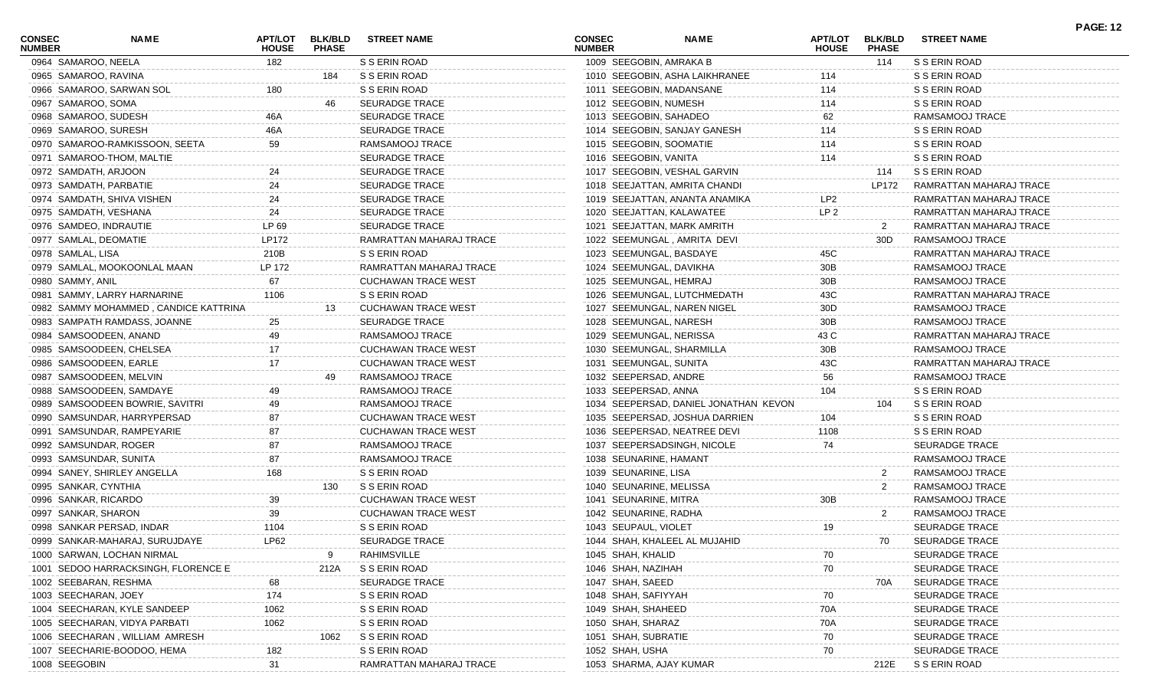| <b>CONSEC</b><br><b>NUMBER</b> | <b>NAME</b>                           | <b>APT/LOT</b><br><b>HOUSE</b> | <b>BLK/BLD</b><br><b>PHASE</b> | <b>STREET NAME</b>         | <b>CONSEC</b><br><b>NUMBER</b> | <b>NAME</b>                           | <b>APT/LOT</b><br><b>HOUSE</b> | <b>BLK/BLD</b><br><b>PHASE</b> | <b>STREET NAME</b>      |  |
|--------------------------------|---------------------------------------|--------------------------------|--------------------------------|----------------------------|--------------------------------|---------------------------------------|--------------------------------|--------------------------------|-------------------------|--|
|                                | 0964 SAMAROO, NEELA                   | 182                            |                                | S S ERIN ROAD              |                                | 1009 SEEGOBIN, AMRAKA B               |                                | 114                            | S S ERIN ROAD           |  |
|                                | 0965 SAMAROO, RAVINA                  |                                | 184                            | S S ERIN ROAD              |                                | 1010 SEEGOBIN, ASHA LAIKHRANEE        | 114                            |                                | S S ERIN ROAD           |  |
|                                | 0966 SAMAROO, SARWAN SOL              | 180                            |                                | S S ERIN ROAD              |                                | 1011 SEEGOBIN, MADANSANE              | 114                            |                                | S S ERIN ROAD           |  |
|                                | 0967 SAMAROO, SOMA                    |                                | 46                             | SEURADGE TRACE             |                                | 1012 SEEGOBIN, NUMESH                 | 114                            |                                | S S ERIN ROAD           |  |
|                                | 0968 SAMAROO, SUDESH                  | 46A                            |                                | <b>SEURADGE TRACE</b>      |                                | 1013 SEEGOBIN, SAHADEO                | 62                             |                                | RAMSAMOOJ TRACE         |  |
|                                | 0969 SAMAROO, SURESH                  | 46A                            |                                | <b>SEURADGE TRACE</b>      |                                | 1014 SEEGOBIN, SANJAY GANESH          | 114                            |                                | S S ERIN ROAD           |  |
|                                | 0970 SAMAROO-RAMKISSOON, SEETA        | 59                             |                                | RAMSAMOOJ TRACE            |                                | 1015 SEEGOBIN, SOOMATIE               | 114                            |                                | S S ERIN ROAD           |  |
|                                | 0971 SAMAROO-THOM, MALTIE             |                                |                                | <b>SEURADGE TRACE</b>      | 1016 SEEGOBIN, VANITA          |                                       | 114                            |                                | S S ERIN ROAD           |  |
|                                | 0972 SAMDATH, ARJOON                  |                                |                                | <b>SEURADGE TRACE</b>      |                                | 1017 SEEGOBIN, VESHAL GARVIN          |                                | 114                            | S S ERIN ROAD           |  |
|                                | 0973 SAMDATH, PARBATIE                | 24                             |                                | <b>SEURADGE TRACE</b>      |                                | 1018 SEEJATTAN, AMRITA CHANDI         |                                | LP172                          | RAMRATTAN MAHARAJ TRACE |  |
|                                | 0974 SAMDATH, SHIVA VISHEN            | 24                             |                                | <b>SEURADGE TRACE</b>      |                                | 1019 SEEJATTAN, ANANTA ANAMIKA        | LP <sub>2</sub>                |                                | RAMRATTAN MAHARAJ TRACE |  |
|                                | 0975 SAMDATH, VESHANA                 | 24                             |                                | <b>SEURADGE TRACE</b>      |                                | 1020 SEEJATTAN, KALAWATEE             | LP <sub>2</sub>                |                                | RAMRATTAN MAHARAJ TRACE |  |
|                                | 0976 SAMDEO, INDRAUTIE                | LP 69                          |                                | <b>SEURADGE TRACE</b>      |                                | 1021 SEEJATTAN, MARK AMRITH           |                                | 2                              | RAMRATTAN MAHARAJ TRACE |  |
|                                | 0977 SAMLAL, DEOMATIE                 | LP172                          |                                | RAMRATTAN MAHARAJ TRACE    |                                | 1022 SEEMUNGAL, AMRITA DEVI           |                                | 30D                            | RAMSAMOOJ TRACE         |  |
|                                | 0978 SAMLAL, LISA                     | 210B                           |                                | S S ERIN ROAD              |                                | 1023 SEEMUNGAL, BASDAYE               | 45C                            |                                | RAMRATTAN MAHARAJ TRACE |  |
|                                | 0979 SAMLAL, MOOKOONLAL MAAN          | LP 172                         |                                | RAMRATTAN MAHARAJ TRACE    |                                | 1024 SEEMUNGAL, DAVIKHA               | 30B                            |                                | RAMSAMOOJ TRACE         |  |
|                                | 0980 SAMMY, ANIL                      | 67                             |                                | <b>CUCHAWAN TRACE WEST</b> |                                | 1025 SEEMUNGAL, HEMRAJ                | 30B                            |                                | RAMSAMOOJ TRACE         |  |
|                                | 0981 SAMMY, LARRY HARNARINE           | 1106                           |                                | S S ERIN ROAD              |                                | 1026 SEEMUNGAL, LUTCHMEDATH           | 43C                            |                                | RAMRATTAN MAHARAJ TRACE |  |
|                                | 0982 SAMMY MOHAMMED, CANDICE KATTRINA |                                | 13                             | <b>CUCHAWAN TRACE WEST</b> |                                | 1027 SEEMUNGAL, NAREN NIGEL           | 30D                            |                                | RAMSAMOOJ TRACE         |  |
|                                | 0983 SAMPATH RAMDASS, JOANNE          | 25                             |                                | <b>SEURADGE TRACE</b>      |                                | 1028 SEEMUNGAL, NARESH                | 30B                            |                                | RAMSAMOOJ TRACE         |  |
|                                | 0984 SAMSOODEEN, ANAND                | 49                             |                                | RAMSAMOOJ TRACE            |                                | 1029 SEEMUNGAL, NERISSA               | 43 C                           |                                | RAMRATTAN MAHARAJ TRACE |  |
|                                | 0985 SAMSOODEEN, CHELSEA              | 17                             |                                | <b>CUCHAWAN TRACE WEST</b> |                                | 1030 SEEMUNGAL, SHARMILLA             | 30B                            |                                | RAMSAMOOJ TRACE         |  |
|                                | 0986 SAMSOODEEN, EARLE                | 17                             |                                | <b>CUCHAWAN TRACE WEST</b> |                                | 1031 SEEMUNGAL, SUNITA                | 43C                            |                                | RAMRATTAN MAHARAJ TRACE |  |
|                                | 0987 SAMSOODEEN, MELVIN               |                                | 49                             | RAMSAMOOJ TRACE            |                                | 1032 SEEPERSAD, ANDRE                 | 56                             |                                | RAMSAMOOJ TRACE         |  |
|                                | 0988 SAMSOODEEN, SAMDAYE              |                                |                                | RAMSAMOOJ TRACE            | 1033 SEEPERSAD, ANNA           |                                       | 104                            |                                | S S ERIN ROAD           |  |
|                                | 0989 SAMSOODEEN BOWRIE, SAVITRI       |                                |                                | RAMSAMOOJ TRACE            |                                | 1034 SEEPERSAD, DANIEL JONATHAN KEVON |                                | 104                            | S S ERIN ROAD           |  |
|                                | 0990 SAMSUNDAR, HARRYPERSAD           | 87                             |                                | <b>CUCHAWAN TRACE WEST</b> |                                | 1035 SEEPERSAD, JOSHUA DARRIEN        | 104                            |                                | S S ERIN ROAD           |  |
|                                | 0991 SAMSUNDAR, RAMPEYARIE            |                                |                                | <b>CUCHAWAN TRACE WEST</b> |                                | 1036 SEEPERSAD, NEATREE DEVI          | 1108                           |                                | S S ERIN ROAD           |  |
|                                | 0992 SAMSUNDAR, ROGER                 |                                |                                | RAMSAMOOJ TRACE            |                                | 1037 SEEPERSADSINGH, NICOLE           | 74                             |                                | <b>SEURADGE TRACE</b>   |  |
|                                | 0993 SAMSUNDAR, SUNITA                |                                |                                | RAMSAMOOJ TRACE            |                                | 1038 SEUNARINE, HAMANT                |                                |                                | RAMSAMOOJ TRACE         |  |
|                                | 0994 SANEY, SHIRLEY ANGELLA           | 168                            |                                | S S ERIN ROAD              | 1039 SEUNARINE, LISA           |                                       |                                | $\overline{2}$                 | RAMSAMOOJ TRACE         |  |
|                                | 0995 SANKAR, CYNTHIA                  |                                | 130                            | S S ERIN ROAD              |                                | 1040 SEUNARINE, MELISSA               |                                | 2                              | RAMSAMOOJ TRACE         |  |
|                                | 0996 SANKAR, RICARDO                  | 39                             |                                | <b>CUCHAWAN TRACE WEST</b> | 1041 SEUNARINE, MITRA          |                                       | 30B                            |                                | RAMSAMOOJ TRACE         |  |
|                                | 0997 SANKAR, SHARON                   | 39                             |                                | <b>CUCHAWAN TRACE WEST</b> |                                | 1042 SEUNARINE, RADHA                 |                                | 2                              | RAMSAMOOJ TRACE         |  |
|                                | 0998 SANKAR PERSAD, INDAR             | 1104                           |                                | S S ERIN ROAD              | 1043 SEUPAUL, VIOLET           |                                       | 19                             |                                | <b>SEURADGE TRACE</b>   |  |
|                                | 0999 SANKAR-MAHARAJ, SURUJDAYE        | LP62                           |                                | SEURADGE TRACE             |                                | 1044 SHAH, KHALEEL AL MUJAHID         |                                |                                | SEURADGE TRACE          |  |
|                                | 1000 SARWAN, LOCHAN NIRMAL            |                                |                                | RAHIMSVILLE                | 1045 SHAH, KHALID              |                                       | 70                             |                                | <b>SEURADGE TRACE</b>   |  |
|                                | 1001 SEDOO HARRACKSINGH, FLORENCE E   |                                | 212A                           | S S ERIN ROAD              | 1046 SHAH, NAZIHAH             |                                       | 70                             |                                | <b>SEURADGE TRACE</b>   |  |
|                                | 1002 SEEBARAN, RESHMA                 |                                |                                | <b>SEURADGE TRACE</b>      | 1047 SHAH, SAEED               |                                       |                                | 70A                            | <b>SEURADGE TRACE</b>   |  |
|                                | 1003 SEECHARAN, JOEY                  | 174                            |                                | S S ERIN ROAD              | 1048 SHAH, SAFIYYAH            |                                       | 70                             |                                | <b>SEURADGE TRACE</b>   |  |
|                                | 1004 SEECHARAN, KYLE SANDEEP          | 1062                           |                                | S S ERIN ROAD              | 1049 SHAH, SHAHEED             |                                       | 70A                            |                                | <b>SEURADGE TRACE</b>   |  |
|                                | 1005 SEECHARAN, VIDYA PARBATI         | 1062                           |                                | S S ERIN ROAD              | 1050 SHAH, SHARAZ              |                                       | 70A                            |                                | <b>SEURADGE TRACE</b>   |  |
|                                | 1006 SEECHARAN, WILLIAM AMRESH        |                                | 1062                           | S S ERIN ROAD              | 1051 SHAH, SUBRATIE            |                                       | 70                             |                                | <b>SEURADGE TRACE</b>   |  |
|                                | 1007 SEECHARIE-BOODOO, HEMA           | 182                            |                                | S S ERIN ROAD              | 1052 SHAH, USHA                |                                       | 70                             |                                | <b>SEURADGE TRACE</b>   |  |
|                                | 1008 SEEGOBIN                         | 31                             |                                | RAMRATTAN MAHARAJ TRACE    |                                | 1053 SHARMA, AJAY KUMAR               |                                | 212E                           | S S ERIN ROAD           |  |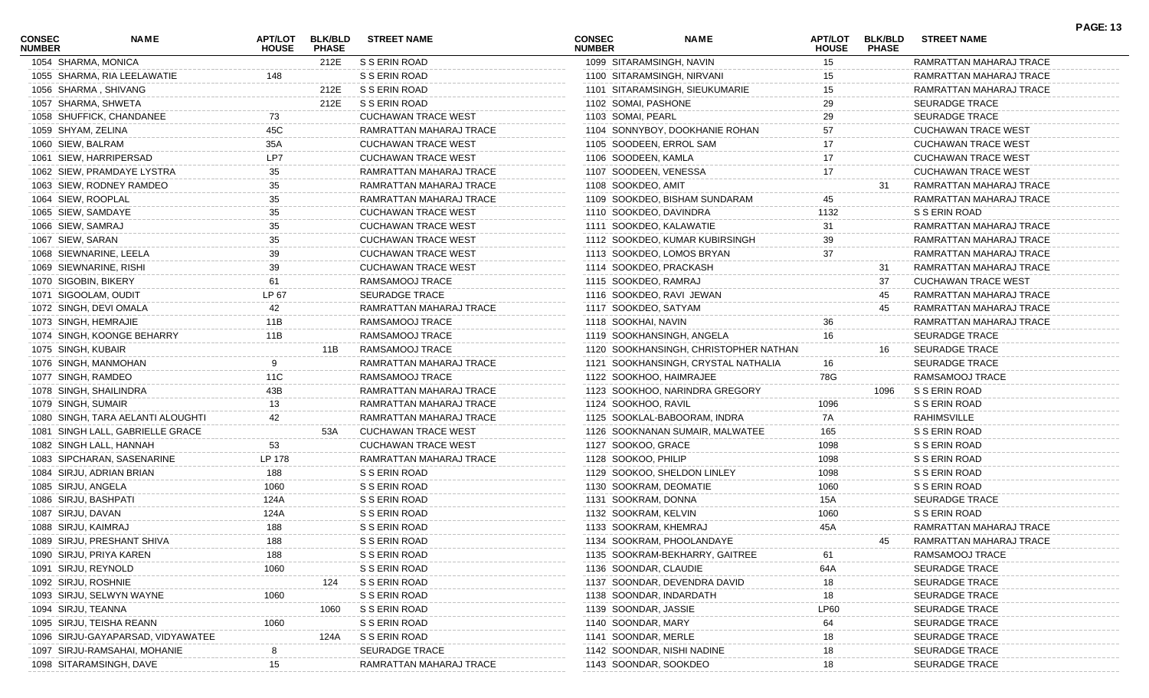| <b>CONSEC</b><br><b>NUMBER</b> | <b>NAME</b>                       | <b>APT/LOT</b><br><b>HOUSE</b> | <b>BLK/BLD</b><br><b>PHASE</b> | <b>STREET NAME</b>         | <b>CONSEC</b><br><b>NUMBER</b> | <b>NAME</b>                           | <b>APT/LOT</b><br><b>HOUSE</b> | <b>BLK/BLD</b><br><b>PHASE</b> | <b>STREET NAME</b>         | <b>PAGE: 13</b> |
|--------------------------------|-----------------------------------|--------------------------------|--------------------------------|----------------------------|--------------------------------|---------------------------------------|--------------------------------|--------------------------------|----------------------------|-----------------|
| 1054 SHARMA, MONICA            |                                   |                                | 212E                           | S S ERIN ROAD              | 1099 SITARAMSINGH, NAVIN       |                                       | 15                             |                                | RAMRATTAN MAHARAJ TRACE    |                 |
|                                | 1055 SHARMA, RIA LEELAWATIE       | 148                            |                                | S S ERIN ROAD              |                                | 1100 SITARAMSINGH, NIRVANI            | 15                             |                                | RAMRATTAN MAHARAJ TRACE    |                 |
| 1056 SHARMA, SHIVANG           |                                   |                                | 212E                           | S S ERIN ROAD              |                                | 1101 SITARAMSINGH, SIEUKUMARIE        | 15                             |                                | RAMRATTAN MAHARAJ TRACE    |                 |
| 1057 SHARMA, SHWETA            |                                   |                                | 212E                           | S S ERIN ROAD              | 1102 SOMAI, PASHONE            |                                       | 29                             |                                | <b>SEURADGE TRACE</b>      |                 |
|                                | 1058 SHUFFICK, CHANDANEE          | 73                             |                                | <b>CUCHAWAN TRACE WEST</b> | 1103 SOMAI, PEARL              |                                       | 29                             |                                | <b>SEURADGE TRACE</b>      |                 |
| 1059 SHYAM, ZELINA             |                                   | 45C                            |                                | RAMRATTAN MAHARAJ TRACE    |                                | 1104 SONNYBOY, DOOKHANIE ROHAN        | 57                             |                                | CUCHAWAN TRACE WEST        |                 |
| 1060 SIEW, BALRAM              |                                   | 35A                            |                                | <b>CUCHAWAN TRACE WEST</b> | 1105 SOODEEN, ERROL SAM        |                                       | 17                             |                                | <b>CUCHAWAN TRACE WEST</b> |                 |
|                                | 1061 SIEW, HARRIPERSAD            | LP7                            |                                | <b>CUCHAWAN TRACE WEST</b> | 1106 SOODEEN, KAMLA            |                                       | 17                             |                                | <b>CUCHAWAN TRACE WEST</b> |                 |
|                                | 1062 SIEW, PRAMDAYE LYSTRA        | 35                             |                                | RAMRATTAN MAHARAJ TRACE    | 1107 SOODEEN, VENESSA          |                                       | 17                             |                                | <b>CUCHAWAN TRACE WEST</b> |                 |
|                                | 1063 SIEW, RODNEY RAMDEO          | 35                             |                                | RAMRATTAN MAHARAJ TRACE    | 1108 SOOKDEO, AMIT             |                                       |                                | 31                             | RAMRATTAN MAHARAJ TRACE    |                 |
| 1064 SIEW, ROOPLAL             |                                   | 35                             |                                | RAMRATTAN MAHARAJ TRACE    |                                | 1109 SOOKDEO, BISHAM SUNDARAM         | 45                             |                                | RAMRATTAN MAHARAJ TRACE    |                 |
| 1065 SIEW, SAMDAYE             |                                   | 35                             |                                | <b>CUCHAWAN TRACE WEST</b> | 1110 SOOKDEO, DAVINDRA         |                                       | 1132                           |                                | S S ERIN ROAD              |                 |
| 1066 SIEW, SAMRAJ              |                                   | 35                             |                                | <b>CUCHAWAN TRACE WEST</b> | 1111 SOOKDEO, KALAWATIE        |                                       | 31                             |                                | RAMRATTAN MAHARAJ TRACE    |                 |
| 1067 SIEW, SARAN               |                                   | 35                             |                                | <b>CUCHAWAN TRACE WEST</b> |                                | 1112 SOOKDEO, KUMAR KUBIRSINGH        | 39                             |                                | RAMRATTAN MAHARAJ TRACE    |                 |
|                                | 1068 SIEWNARINE, LEELA            | 39                             |                                | <b>CUCHAWAN TRACE WEST</b> |                                | 1113 SOOKDEO, LOMOS BRYAN             | 37                             |                                | RAMRATTAN MAHARAJ TRACE    |                 |
| 1069 SIEWNARINE, RISHI         |                                   | 39                             |                                | <b>CUCHAWAN TRACE WEST</b> | 1114 SOOKDEO, PRACKASH         |                                       |                                | 31                             | RAMRATTAN MAHARAJ TRACE    |                 |
| 1070 SIGOBIN, BIKERY           |                                   | 61                             |                                | RAMSAMOOJ TRACE            | 1115 SOOKDEO, RAMRAJ           |                                       |                                | 37                             | <b>CUCHAWAN TRACE WEST</b> |                 |
| 1071 SIGOOLAM, OUDIT           |                                   | LP 67                          |                                | <b>SEURADGE TRACE</b>      |                                | 1116 SOOKDEO, RAVI JEWAN              |                                | 45                             | RAMRATTAN MAHARAJ TRACE    |                 |
|                                | 1072 SINGH, DEVI OMALA            | 42                             |                                | RAMRATTAN MAHARAJ TRACE    | 1117 SOOKDEO, SATYAM           |                                       |                                | 45                             | RAMRATTAN MAHARAJ TRACE    |                 |
| 1073 SINGH, HEMRAJIE           |                                   | 11B                            |                                | RAMSAMOOJ TRACE            | 1118 SOOKHAI, NAVIN            |                                       |                                |                                | RAMRATTAN MAHARAJ TRACE    |                 |
|                                | 1074 SINGH, KOONGE BEHARRY        | 11B                            |                                | RAMSAMOOJ TRACE            |                                | 1119 SOOKHANSINGH, ANGELA             | 16                             |                                | <b>SEURADGE TRACE</b>      |                 |
| 1075 SINGH, KUBAIR             |                                   |                                | 11B                            | RAMSAMOOJ TRACE            |                                | 1120 SOOKHANSINGH, CHRISTOPHER NATHAN |                                | 16                             | <b>SEURADGE TRACE</b>      |                 |
|                                | 1076 SINGH, MANMOHAN              | 9                              |                                | RAMRATTAN MAHARAJ TRACE    |                                | 1121 SOOKHANSINGH, CRYSTAL NATHALIA   | 16                             |                                | <b>SEURADGE TRACE</b>      |                 |
| 1077 SINGH, RAMDEO             |                                   | 11C                            |                                | RAMSAMOOJ TRACE            | 1122 SOOKHOO, HAIMRAJEE        |                                       | 78G                            |                                | RAMSAMOOJ TRACE            |                 |
|                                | 1078 SINGH, SHAILINDRA            | 43B                            |                                | RAMRATTAN MAHARAJ TRACE    |                                | 1123 SOOKHOO, NARINDRA GREGORY        |                                | 1096                           | S S ERIN ROAD              |                 |
| 1079 SINGH, SUMAIR             |                                   | 13                             |                                | RAMRATTAN MAHARAJ TRACE    | 1124 SOOKHOO, RAVIL            |                                       | 1096                           |                                | S S ERIN ROAD              |                 |
|                                | 1080 SINGH, TARA AELANTI ALOUGHTI | 42                             |                                | RAMRATTAN MAHARAJ TRACE    |                                | 1125 SOOKLAL-BABOORAM, INDRA          | 7A                             |                                | RAHIMSVILLE                |                 |
|                                | 1081 SINGH LALL, GABRIELLE GRACE  |                                | 53A                            | <b>CUCHAWAN TRACE WEST</b> |                                | 1126 SOOKNANAN SUMAIR, MALWATEE       | 165                            |                                | S S ERIN ROAD              |                 |
|                                | 1082 SINGH LALL, HANNAH           | 53                             |                                | <b>CUCHAWAN TRACE WEST</b> | 1127 SOOKOO, GRACE             |                                       | 1098                           |                                | S S ERIN ROAD              |                 |
|                                | 1083 SIPCHARAN, SASENARINE        | LP 178                         |                                | RAMRATTAN MAHARAJ TRACE    | 1128 SOOKOO, PHILIP            |                                       | 1098                           |                                | S S ERIN ROAD              |                 |
|                                | 1084 SIRJU, ADRIAN BRIAN          | 188                            |                                | S S ERIN ROAD              |                                | 1129 SOOKOO, SHELDON LINLEY           | 1098                           |                                | S S ERIN ROAD              |                 |
| 1085 SIRJU, ANGELA             |                                   | 1060                           |                                | S S ERIN ROAD              | 1130 SOOKRAM, DEOMATIE         |                                       | 1060                           |                                | S S ERIN ROAD              |                 |
| 1086 SIRJU, BASHPATI           |                                   | 124A                           |                                | S S ERIN ROAD              | 1131 SOOKRAM, DONNA            |                                       | 15A                            |                                | <b>SEURADGE TRACE</b>      |                 |
| 1087 SIRJU, DAVAN              |                                   | 124A                           |                                | S S ERIN ROAD              | 1132 SOOKRAM, KELVIN           |                                       | 1060                           |                                | S S ERIN ROAD              |                 |
| 1088 SIRJU, KAIMRAJ            |                                   | 188                            |                                | S S ERIN ROAD              | 1133 SOOKRAM, KHEMRAJ          |                                       | 45A                            |                                | RAMRATTAN MAHARAJ TRACE    |                 |
|                                | 1089 SIRJU, PRESHANT SHIVA        | 188                            |                                | S S ERIN ROAD              |                                | 1134 SOOKRAM, PHOOLANDAYE             |                                | 45                             | RAMRATTAN MAHARAJ TRACE    |                 |
|                                | 1090 SIRJU, PRIYA KAREN           | 188                            |                                | S S ERIN ROAD              |                                | 1135 SOOKRAM-BEKHARRY, GAITREE        | 61                             |                                | RAMSAMOOJ TRACE            |                 |
| 1091 SIRJU, REYNOLD            |                                   | 1060                           |                                | S S ERIN ROAD              | 1136 SOONDAR, CLAUDIE          |                                       | 64A                            |                                | <b>SEURADGE TRACE</b>      |                 |
| 1092 SIRJU, ROSHNIE            |                                   |                                | 124                            | S S ERIN ROAD              |                                | 1137 SOONDAR, DEVENDRA DAVID          | 18                             |                                | <b>SEURADGE TRACE</b>      |                 |
|                                | 1093 SIRJU, SELWYN WAYNE          | 1060                           |                                | S S ERIN ROAD              | 1138 SOONDAR, INDARDATH        |                                       | 18                             |                                | <b>SEURADGE TRACE</b>      |                 |
| 1094 SIRJU, TEANNA             |                                   |                                | 1060                           | S S ERIN ROAD              | 1139 SOONDAR, JASSIE           |                                       | <b>LP60</b>                    |                                | SEURADGE TRACE             |                 |
|                                | 1095 SIRJU, TEISHA REANN          | 1060                           |                                | S S ERIN ROAD              | 1140 SOONDAR, MARY             |                                       | 64                             |                                | <b>SEURADGE TRACE</b>      |                 |
|                                | 1096 SIRJU-GAYAPARSAD, VIDYAWATEE |                                | 124A                           | S S ERIN ROAD              | 1141 SOONDAR, MERLE            |                                       | 18                             |                                | <b>SEURADGE TRACE</b>      |                 |
|                                | 1097 SIRJU-RAMSAHAI, MOHANIE      | 8                              |                                | <b>SEURADGE TRACE</b>      |                                | 1142 SOONDAR, NISHI NADINE            | 18                             |                                | <b>SEURADGE TRACE</b>      |                 |
|                                | 1098 SITARAMSINGH, DAVE           | 15                             |                                | RAMRATTAN MAHARAJ TRACE    | 1143 SOONDAR, SOOKDEO          |                                       | 18                             |                                | <b>SEURADGE TRACE</b>      |                 |
|                                |                                   |                                |                                |                            |                                |                                       |                                |                                |                            |                 |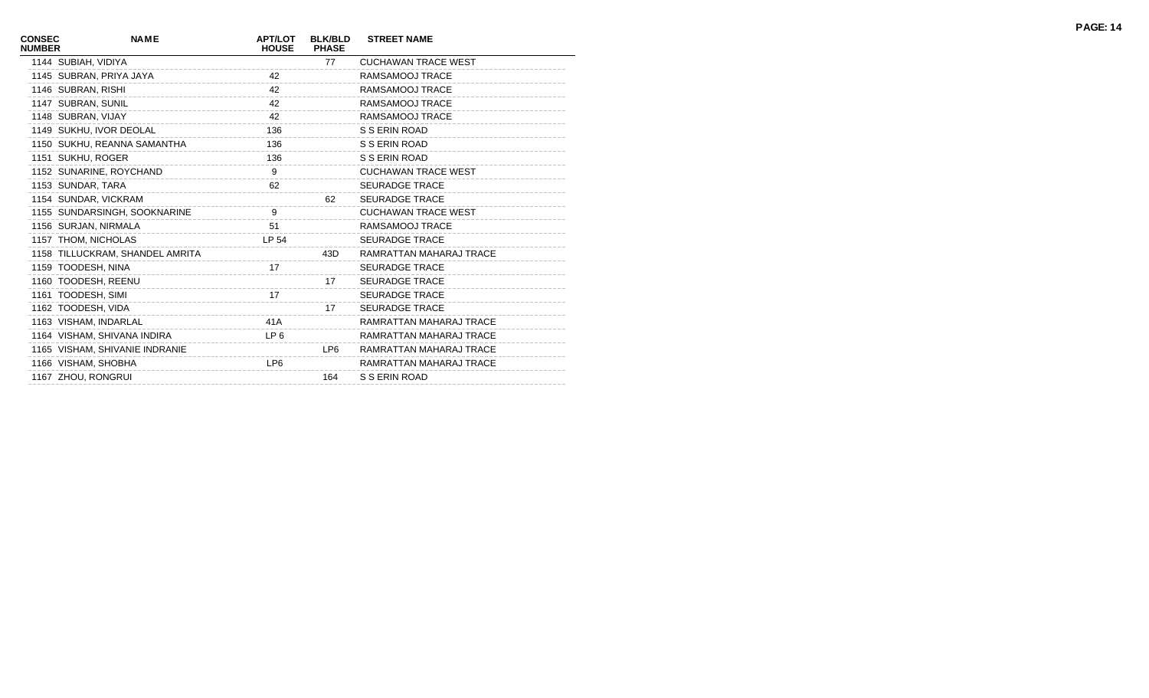| <b>CONSEC</b><br><b>NUMBER</b> | <b>NAME</b>                     | <b>APT/LOT</b><br><b>HOUSE</b> | <b>BLK/BLD</b><br><b>PHASE</b> | <b>STREET NAME</b>         |
|--------------------------------|---------------------------------|--------------------------------|--------------------------------|----------------------------|
|                                | 1144 SUBIAH, VIDIYA             |                                | 77                             | <b>CUCHAWAN TRACE WEST</b> |
|                                | 1145 SUBRAN, PRIYA JAYA         | 42                             |                                | RAMSAMOOJ TRACE            |
|                                | 1146 SUBRAN, RISHI              | 42                             |                                | RAMSAMOOJ TRACE            |
|                                | 1147 SUBRAN, SUNIL              | 42                             |                                | RAMSAMOOJ TRACE            |
|                                | 1148 SUBRAN, VIJAY              | 42                             |                                | RAMSAMOOJ TRACE            |
|                                | 1149 SUKHU, IVOR DEOLAL         | 136                            |                                | S S ERIN ROAD              |
|                                | 1150 SUKHU, REANNA SAMANTHA     | 136                            |                                | S S ERIN ROAD              |
|                                | 1151 SUKHU, ROGER               | 136                            |                                | S S ERIN ROAD              |
|                                | 1152 SUNARINE, ROYCHAND         | 9                              |                                | <b>CUCHAWAN TRACE WEST</b> |
|                                | 1153 SUNDAR, TARA               | 62                             |                                | <b>SEURADGE TRACE</b>      |
|                                | 1154 SUNDAR, VICKRAM            |                                | 62                             | <b>SEURADGE TRACE</b>      |
|                                | 1155 SUNDARSINGH, SOOKNARINE    | 9                              |                                | <b>CUCHAWAN TRACE WEST</b> |
|                                | 1156 SURJAN, NIRMALA            | 51                             |                                | RAMSAMOOJ TRACE            |
|                                | 1157 THOM, NICHOLAS             | LP 54                          |                                | <b>SEURADGE TRACE</b>      |
|                                | 1158 TILLUCKRAM, SHANDEL AMRITA |                                | 43D                            | RAMRATTAN MAHARAJ TRACE    |
|                                | 1159 TOODESH, NINA              | 17                             |                                | <b>SEURADGE TRACE</b>      |
|                                | 1160 TOODESH, REENU             |                                | 17                             | <b>SEURADGE TRACE</b>      |
|                                | 1161 TOODESH, SIMI              | 17                             |                                | <b>SEURADGE TRACE</b>      |
|                                | 1162 TOODESH, VIDA              |                                | 17                             | <b>SEURADGE TRACE</b>      |
|                                | 1163 VISHAM, INDARLAL           | 41A                            |                                | RAMRATTAN MAHARAJ TRACE    |
|                                | 1164 VISHAM, SHIVANA INDIRA     | LP <sub>6</sub>                |                                | RAMRATTAN MAHARAJ TRACE    |
|                                | 1165 VISHAM, SHIVANIE INDRANIE  |                                | LP6                            | RAMRATTAN MAHARAJ TRACE    |
|                                | 1166 VISHAM, SHOBHA             | LP <sub>6</sub>                |                                | RAMRATTAN MAHARAJ TRACE    |
|                                | 1167 ZHOU, RONGRUI              |                                | 164                            | S S ERIN ROAD              |
|                                |                                 |                                |                                |                            |